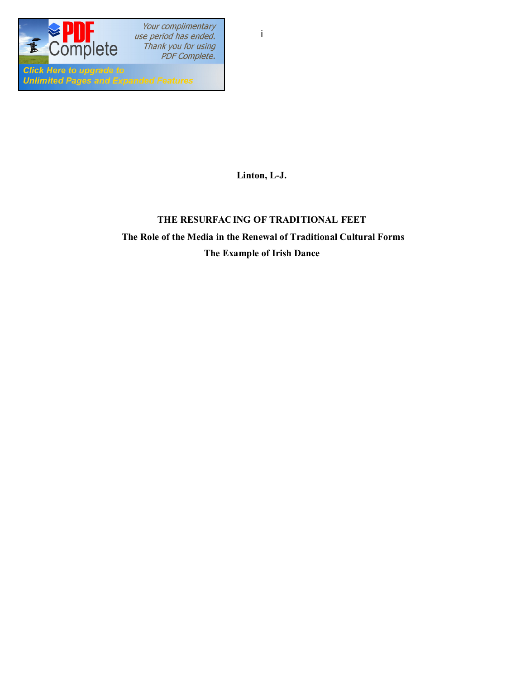

**Click Here to upgrade to<br>Unlimited Pages and Expanded Features** 

**Linton, L-J.**

### **THE RESURFACING OF TRADITIONAL FEET**

 **The Role of the Media in the Renewal of Traditional Cultural Forms The Example of Irish Dance**

i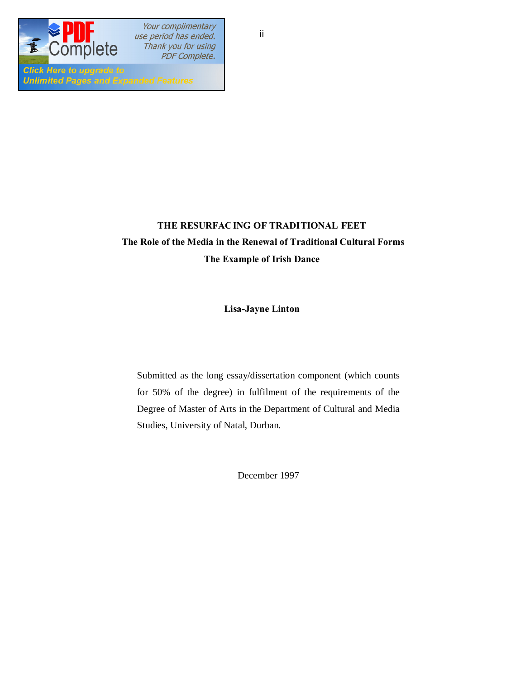

**Click Here to upgrade to Unlimited Pages and Expanded Features** 

## **THE RESURFACING OF TRADITIONAL FEET The Role of the Media in the Renewal of Traditional Cultural Forms The Example of Irish Dance**

### **Lisa-Jayne Linton**

Submitted as the long essay/dissertation component (which counts for 50% of the degree) in fulfilment of the requirements of the Degree of Master of Arts in the Department of Cultural and Media Studies, University of Natal, Durban.

December 1997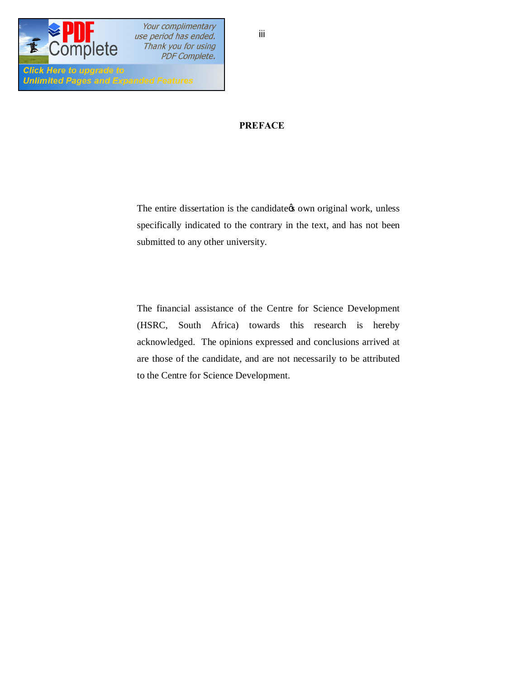

**Unlimited Pages and Expanded Features** 

#### **PREFACE**

The entire dissertation is the candidate to own original work, unless specifically indicated to the contrary in the text, and has not been submitted to any other university.

The financial assistance of the Centre for Science Development (HSRC, South Africa) towards this research is hereby acknowledged. The opinions expressed and conclusions arrived at are those of the candidate, and are not necessarily to be attributed to the Centre for Science Development.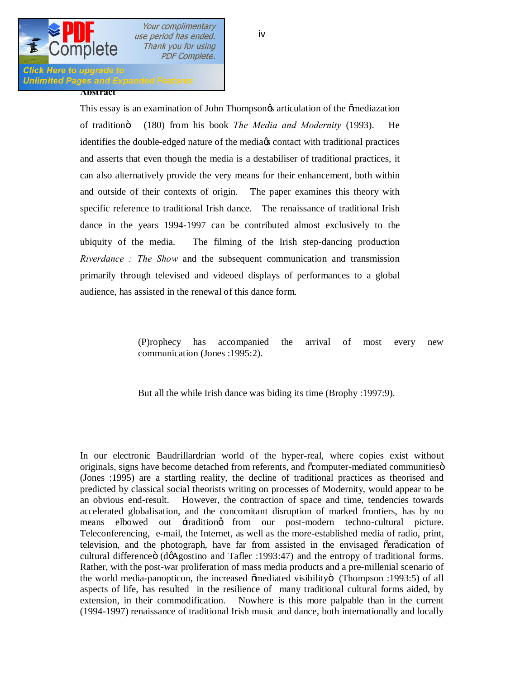

**Click Here to upgrade to Unlimited Pages and Expanded Features** 

#### **[Abstract](http://www.pdfcomplete.com/cms/hppl/tabid/108/Default.aspx?r=q8b3uige22)**

This essay is an examination of John Thompson $\alpha$  articulation of the  $\ddot{\text{o}}$  mediazation of tradition" (180) from his book *The Media and Modernity* (1993). He identifies the double-edged nature of the media to contact with traditional practices and asserts that even though the media is a destabiliser of traditional practices, it can also alternatively provide the very means for their enhancement, both within and outside of their contexts of origin. The paper examines this theory with specific reference to traditional Irish dance. The renaissance of traditional Irish dance in the years 1994-1997 can be contributed almost exclusively to the ubiquity of the media. The filming of the Irish step-dancing production *Riverdance : The Show* and the subsequent communication and transmission primarily through televised and videoed displays of performances to a global audience, has assisted in the renewal of this dance form.

> (P)rophecy has accompanied the arrival of most every new communication (Jones :1995:2).

But all the while Irish dance was biding its time (Brophy :1997:9).

In our electronic Baudrillardrian world of the hyper-real, where copies exist without originals, signs have become detached from referents, and  $\tilde{\alpha}$ computer-mediated communities  $\ddot{\text{o}}$ (Jones :1995) are a startling reality, the decline of traditional practices as theorised and predicted by classical social theorists writing on processes of Modernity, would appear to be an obvious end-result. However, the contraction of space and time, tendencies towards accelerated globalisation, and the concomitant disruption of marked frontiers, has by no means elbowed out  $\text{ifradition}\phi$  from our post-modern techno-cultural picture. Teleconferencing, e-mail, the Internet, as well as the more-established media of radio, print, television, and the photograph, have far from assisted in the envisaged "eradication of cultural difference  $\ddot{\text{o}}$  (d $\phi$ Agostino and Tafler :1993:47) and the entropy of traditional forms. Rather, with the post-war proliferation of mass media products and a pre-millenial scenario of the world media-panopticon, the increased  $\ddot{\text{om}}$  diated visibility (Thompson :1993:5) of all aspects of life, has resulted in the resilience of many traditional cultural forms aided, by extension, in their commodification. Nowhere is this more palpable than in the current (1994-1997) renaissance of traditional Irish music and dance, both internationally and locally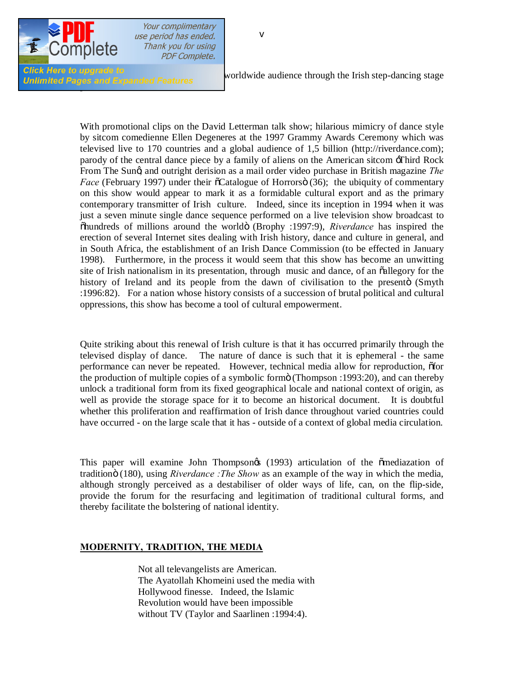

**Unlimited Pages and Expanded Features** 

Click Here to upgrade to<br>Helimited Range and European Features worldwide audience through the Irish step-dancing stage

With promotional clips on the David Letterman talk show; hilarious mimicry of dance style by sitcom comedienne Ellen Degeneres at the 1997 Grammy Awards Ceremony which was televised live to 170 countries and a global audience of 1,5 billion (http://riverdance.com); parody of the central dance piece by a family of aliens on the American sitcom 'Third Rock From The Sung and outright derision as a mail order video purchase in British magazine *The Face* (February 1997) under their  $\delta$ Catalogue of Horrors $\delta$  (36); the ubiquity of commentary on this show would appear to mark it as a formidable cultural export and as the primary contemporary transmitter of Irish culture. Indeed, since its inception in 1994 when it was just a seven minute single dance sequence performed on a live television show broadcast to  $\ddot{\text{oh}}$ undreds of millions around the worldö (Brophy :1997:9), *Riverdance* has inspired the erection of several Internet sites dealing with Irish history, dance and culture in general, and in South Africa, the establishment of an Irish Dance Commission (to be effected in January 1998). Furthermore, in the process it would seem that this show has become an unwitting site of Irish nationalism in its presentation, through music and dance, of an  $\ddot{\text{o}}$ allegory for the history of Ireland and its people from the dawn of civilisation to the presento (Smyth :1996:82). For a nation whose history consists of a succession of brutal political and cultural oppressions, this show has become a tool of cultural empowerment.

Quite striking about this renewal of Irish culture is that it has occurred primarily through the televised display of dance. The nature of dance is such that it is ephemeral - the same performance can never be repeated. However, technical media allow for reproduction,  $\delta$ for the production of multiple copies of a symbolic form (Thompson : 1993:20), and can thereby unlock a traditional form from its fixed geographical locale and national context of origin, as well as provide the storage space for it to become an historical document. It is doubtful whether this proliferation and reaffirmation of Irish dance throughout varied countries could have occurred - on the large scale that it has - outside of a context of global media circulation.

This paper will examine John Thompsongs (1993) articulation of the omediazation of tradition (180), using *Riverdance : The Show* as an example of the way in which the media, although strongly perceived as a destabiliser of older ways of life, can, on the flip-side, provide the forum for the resurfacing and legitimation of traditional cultural forms, and thereby facilitate the bolstering of national identity.

#### **MODERNITY, TRADITION, THE MEDIA**

Not all televangelists are American. The Ayatollah Khomeini used the media with Hollywood finesse. Indeed, the Islamic Revolution would have been impossible without TV (Taylor and Saarlinen :1994:4).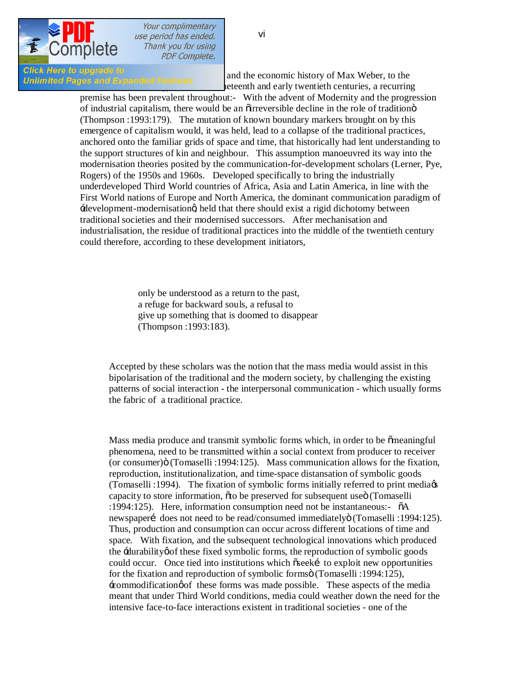

Click Here to upgrade to<br>
Unlimited Pages and Expanded Features and the economic history of Max Weber, to the heteenth and early twentieth centuries, a recurring

> premise has been prevalent throughout:- With the advent of Modernity and the progression of industrial capitalism, there would be an otrreversible decline in the role of traditiono (Thompson :1993:179). The mutation of known boundary markers brought on by this emergence of capitalism would, it was held, lead to a collapse of the traditional practices, anchored onto the familiar grids of space and time, that historically had lent understanding to the support structures of kin and neighbour. This assumption manoeuvred its way into the modernisation theories posited by the communication-for-development scholars (Lerner, Pye, Rogers) of the 1950s and 1960s. Developed specifically to bring the industrially underdeveloped Third World countries of Africa, Asia and Latin America, in line with the First World nations of Europe and North America, the dominant communication paradigm of 'development-modernisation', held that there should exist a rigid dichotomy between traditional societies and their modernised successors. After mechanisation and industrialisation, the residue of traditional practices into the middle of the twentieth century could therefore, according to these development initiators,

> > only be understood as a return to the past, a refuge for backward souls, a refusal to give up something that is doomed to disappear (Thompson :1993:183).

Accepted by these scholars was the notion that the mass media would assist in this bipolarisation of the traditional and the modern society, by challenging the existing patterns of social interaction - the interpersonal communication - which usually forms the fabric of a traditional practice.

Mass media produce and transmit symbolic forms which, in order to be omeaningful phenomena, need to be transmitted within a social context from producer to receiver (or consumer) ö (Tomaselli : 1994:125). Mass communication allows for the fixation, reproduction, institutionalization, and time-space distansation of symbolic goods (Tomaselli :1994). The fixation of symbolic forms initially referred to print media's capacity to store information,  $\tilde{\sigma}$  be preserved for subsequent use (Tomaselli :1994:125). Here, information consumption need not be instantaneous:-  $\tilde{o}A$ newspaper i does not need to be read/consumed immediately inconsumed in 1994:125). Thus, production and consumption can occur across different locations of time and space. With fixation, and the subsequent technological innovations which produced the -durability of these fixed symbolic forms, the reproduction of symbolic goods could occur. Once tied into institutions which  $\tilde{\alpha}$  seek to exploit new opportunities for the fixation and reproduction of symbolic formsö (Tomaselli :1994:125), 'commodification' of these forms was made possible. These aspects of the media meant that under Third World conditions, media could weather down the need for the intensive face-to-face interactions existent in traditional societies - one of the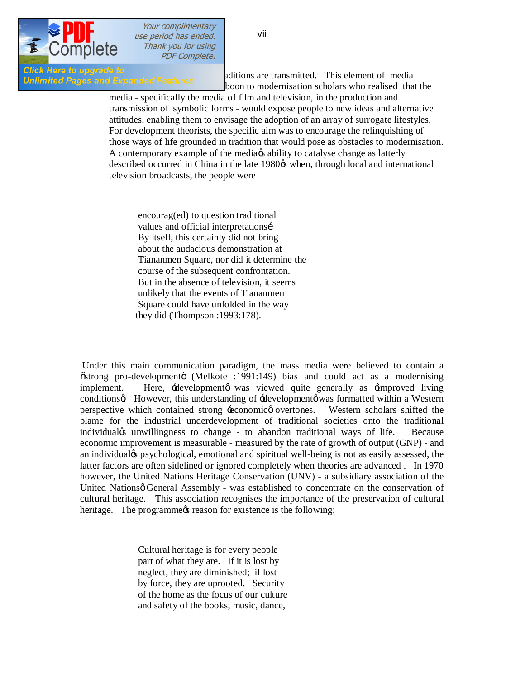

**Click Here to upgrade to**<br> **Unlimited Pages and Expanded Features** aditions are transmitted. This element of media<br>
aditions are transmitted. This element of media boon to modernisation scholars who realised that the

media - specifically the media of film and television, in the production and transmission of symbolic forms - would expose people to new ideas and alternative attitudes, enabling them to envisage the adoption of an array of surrogate lifestyles. For development theorists, the specific aim was to encourage the relinquishing of those ways of life grounded in tradition that would pose as obstacles to modernisation. A contemporary example of the media tability to catalyse change as latterly described occurred in China in the late 1980 $\alpha$  when, through local and international television broadcasts, the people were

encourag(ed) to question traditional values and official interpretationsí By itself, this certainly did not bring about the audacious demonstration at Tiananmen Square, nor did it determine the course of the subsequent confrontation. But in the absence of television, it seems unlikely that the events of Tiananmen Square could have unfolded in the way they did (Thompson :1993:178).

 Under this main communication paradigm, the mass media were believed to contain a  $\tilde{\text{ostrong}}$  pro-developmento (Melkote :1991:149) bias and could act as a modernising implement. Here, development only was viewed quite generally as  $\pm$ mproved living conditions of However, this understanding of  $\pm$ development was formatted within a Western perspective which contained strong  $\div$ economic $\phi$  overtones. Western scholars shifted the blame for the industrial underdevelopment of traditional societies onto the traditional individual<sub>*is*</sub> unwillingness to change - to abandon traditional ways of life. Because economic improvement is measurable - measured by the rate of growth of output (GNP) - and an individual is psychological, emotional and spiritual well-being is not as easily assessed, the latter factors are often sidelined or ignored completely when theories are advanced . In 1970 however, the United Nations Heritage Conservation (UNV) - a subsidiary association of the United Nations & General Assembly - was established to concentrate on the conservation of cultural heritage. This association recognises the importance of the preservation of cultural heritage. The programme is reason for existence is the following:

> Cultural heritage is for every people part of what they are. If it is lost by neglect, they are diminished; if lost by force, they are uprooted. Security of the home as the focus of our culture and safety of the books, music, dance,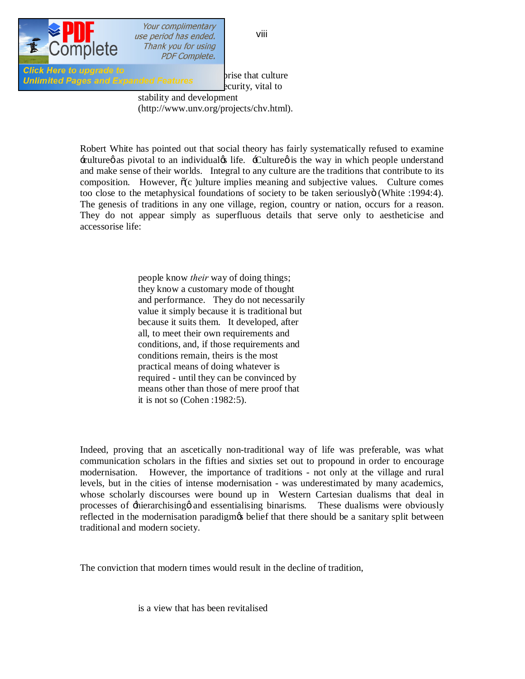

viii

**Chen Here to upgrade to**<br>**Unlimited Pages and Expanded Features** and account that the ecurity, vital to

> stability and development (http://www.unv.org/projects/chv.html).

Robert White has pointed out that social theory has fairly systematically refused to examine  $\pm$ culture  $\phi$  as pivotal to an individual  $\phi$  life.  $\pm$ Culture  $\phi$  is the way in which people understand and make sense of their worlds. Integral to any culture are the traditions that contribute to its composition. However,  $\tilde{o}(c)$  ulture implies meaning and subjective values. Culture comes too close to the metaphysical foundations of society to be taken seriouslyö (White :1994:4). The genesis of traditions in any one village, region, country or nation, occurs for a reason. They do not appear simply as superfluous details that serve only to aestheticise and accessorise life:

> people know *their* way of doing things; they know a customary mode of thought and performance. They do not necessarily value it simply because it is traditional but because it suits them. It developed, after all, to meet their own requirements and conditions, and, if those requirements and conditions remain, theirs is the most practical means of doing whatever is required - until they can be convinced by means other than those of mere proof that it is not so (Cohen :1982:5).

Indeed, proving that an ascetically non-traditional way of life was preferable, was what communication scholars in the fifties and sixties set out to propound in order to encourage modernisation. However, the importance of traditions - not only at the village and rural levels, but in the cities of intense modernisation - was underestimated by many academics, whose scholarly discourses were bound up in Western Cartesian dualisms that deal in processes of 'hierarchising' and essentialising binarisms. These dualisms were obviously reflected in the modernisation paradigm to belief that there should be a sanitary split between traditional and modern society.

The conviction that modern times would result in the decline of tradition,

is a view that has been revitalised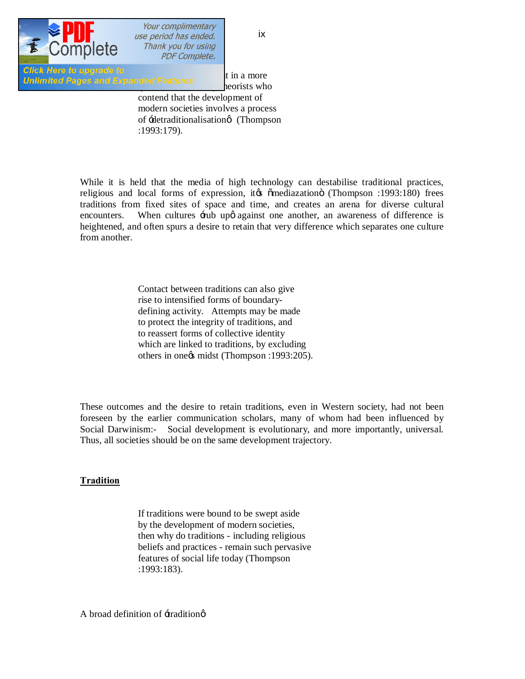

ix

Unlimited Pages and Expanded Features the it in a more

heorists who contend that the development of modern societies involves a process of  $\div$ detraditionalisation $\phi$  (Thompson :1993:179).

While it is held that the media of high technology can destabilise traditional practices, religious and local forms of expression, it is õmediazation " (Thompson :1993:180) frees traditions from fixed sites of space and time, and creates an arena for diverse cultural encounters. When cultures  $\pm$ ub up $\phi$  against one another, an awareness of difference is heightened, and often spurs a desire to retain that very difference which separates one culture from another.

> Contact between traditions can also give rise to intensified forms of boundarydefining activity. Attempts may be made to protect the integrity of traditions, and to reassert forms of collective identity which are linked to traditions, by excluding others in one  $\alpha$  midst (Thompson : 1993:205).

These outcomes and the desire to retain traditions, even in Western society, had not been foreseen by the earlier communication scholars, many of whom had been influenced by Social Darwinism:- Social development is evolutionary, and more importantly, universal. Thus, all societies should be on the same development trajectory.

#### **Tradition**

If traditions were bound to be swept aside by the development of modern societies, then why do traditions - including religious beliefs and practices - remain such pervasive features of social life today (Thompson :1993:183).

A broad definition of  $\pm$ radition $\phi$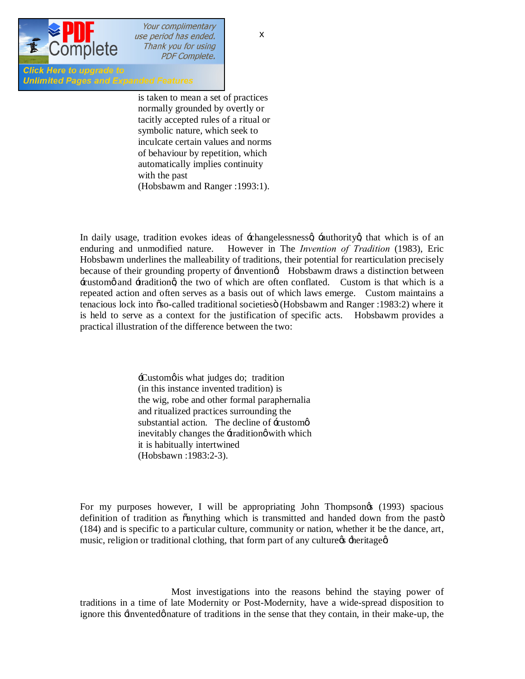

**Click Here to upgrade to Unlimited Pages and Expanded Features** 

> is taken to mean a set of practices normally grounded by overtly or tacitly accepted rules of a ritual or symbolic nature, which seek to inculcate certain values and norms of behaviour by repetition, which automatically implies continuity with the past (Hobsbawm and Ranger :1993:1).

In daily usage, tradition evokes ideas of  $\pm$ changelessness  $\pm$  authority a that which is of an enduring and unmodified nature. However in The *Invention of Tradition* (1983), Eric Hobsbawm underlines the malleability of traditions, their potential for rearticulation precisely because of their grounding property of  $\exists$ invention $\emptyset$ . Hobsbawm draws a distinction between 'custom' and 'tradition', the two of which are often conflated. Custom is that which is a repeated action and often serves as a basis out of which laws emerge. Custom maintains a tenacious lock into  $\delta$ so-called traditional societies (Hobsbawm and Ranger :1983:2) where it is held to serve as a context for the justification of specific acts. Hobsbawm provides a practical illustration of the difference between the two:

> $\pm$ Custom $\emptyset$  is what judges do; tradition (in this instance invented tradition) is the wig, robe and other formal paraphernalia and ritualized practices surrounding the substantial action. The decline of  $\div$ custome inevitably changes the -tradition with which it is habitually intertwined (Hobsbawn :1983:2-3).

For my purposes however, I will be appropriating John Thompsongs (1993) spacious definition of tradition as  $\ddot{\alpha}$  anything which is transmitted and handed down from the pasto (184) and is specific to a particular culture, community or nation, whether it be the dance, art, music, religion or traditional clothing, that form part of any culture  $\phi$  -heritage.

Most investigations into the reasons behind the staying power of traditions in a time of late Modernity or Post-Modernity, have a wide-spread disposition to ignore this  $\exists$ invented $\emptyset$  nature of traditions in the sense that they contain, in their make-up, the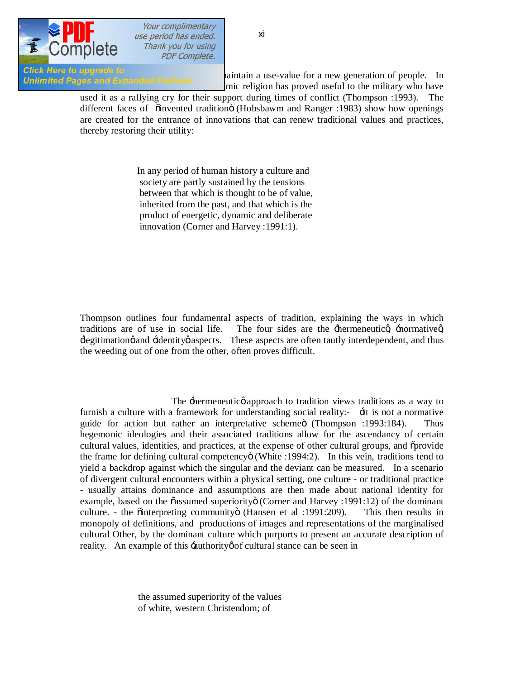

Click Here to upgrade to<br>
Unlimited Pages and Expanded Features<br>
in the close of the declined and the declined and the declined and the declined and the declined and the declined and the declined and the declined and the d mic religion has proved useful to the military who have

used it as a rallying cry for their support during times of conflict (Thompson :1993). The different faces of  $\ddot{\text{o}}$ invented tradition $\ddot{\text{o}}$  (Hobsbawm and Ranger :1983) show how openings are created for the entrance of innovations that can renew traditional values and practices, thereby restoring their utility:

> In any period of human history a culture and society are partly sustained by the tensions between that which is thought to be of value, inherited from the past, and that which is the product of energetic, dynamic and deliberate innovation (Corner and Harvey :1991:1).

Thompson outlines four fundamental aspects of tradition, explaining the ways in which traditions are of use in social life. The four sides are the  $\pm$ hermeneutic $\alpha$   $\pm$ normative $\alpha$  $\pm$ egitimation $\emptyset$  and  $\pm$ dentity $\emptyset$  aspects. These aspects are often tautly interdependent, and thus the weeding out of one from the other, often proves difficult.

The  $\pm$ hermeneutice approach to tradition views traditions as a way to furnish a culture with a framework for understanding social reality:-  $\pm$  it is not a normative guide for action but rather an interpretative scheme (Thompson :1993:184). Thus hegemonic ideologies and their associated traditions allow for the ascendancy of certain cultural values, identities, and practices, at the expense of other cultural groups, and "provide the frame for defining cultural competency (White : 1994:2). In this vein, traditions tend to yield a backdrop against which the singular and the deviant can be measured. In a scenario of divergent cultural encounters within a physical setting, one culture - or traditional practice - usually attains dominance and assumptions are then made about national identity for example, based on the  $\tilde{\text{e}}$ assumed superiority (Corner and Harvey :1991:12) of the dominant culture. - the  $\ddot{\text{o}}$  interpreting community $\ddot{\text{o}}$  (Hansen et al :1991:209). This then results in monopoly of definitions, and productions of images and representations of the marginalised cultural Other, by the dominant culture which purports to present an accurate description of reality. An example of this  $\pm$ uthority of cultural stance can be seen in

> the assumed superiority of the values of white, western Christendom; of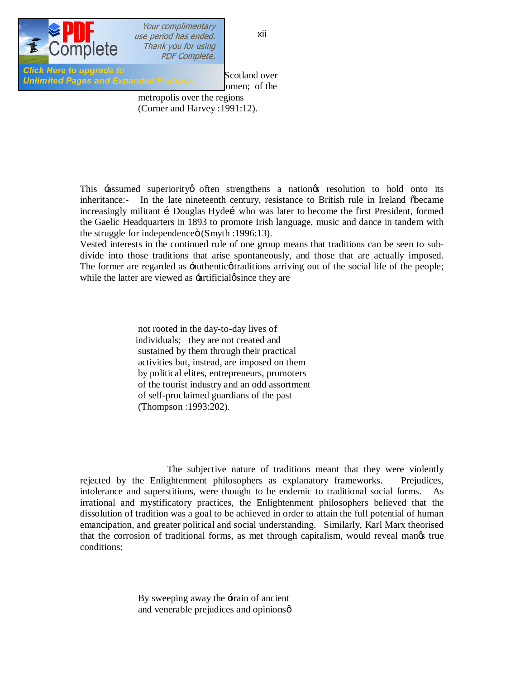

xii

Enck Here to upgrade to<br>Unlimited Pages and Expanded Features Scotland over omen: of the

> metropolis over the regions (Corner and Harvey :1991:12).

This -assumed superiority often strengthens a nation is resolution to hold onto its inheritance:- In the late nineteenth century, resistance to British rule in Ireland "became increasingly militant i Douglas Hydei who was later to become the first President, formed the Gaelic Headquarters in 1893 to promote Irish language, music and dance in tandem with the struggle for independence $\ddot{\text{o}}$  (Smyth :1996:13).

Vested interests in the continued rule of one group means that traditions can be seen to subdivide into those traditions that arise spontaneously, and those that are actually imposed. The former are regarded as -authentic traditions arriving out of the social life of the people; while the latter are viewed as -artificial since they are

> not rooted in the day-to-day lives of individuals; they are not created and sustained by them through their practical activities but, instead, are imposed on them by political elites, entrepreneurs, promoters of the tourist industry and an odd assortment of self-proclaimed guardians of the past (Thompson :1993:202).

 The subjective nature of traditions meant that they were violently rejected by the Enlightenment philosophers as explanatory frameworks. Prejudices, intolerance and superstitions, were thought to be endemic to traditional social forms. As irrational and mystificatory practices, the Enlightenment philosophers believed that the dissolution of tradition was a goal to be achieved in order to attain the full potential of human emancipation, and greater political and social understanding. Similarly, Karl Marx theorised that the corrosion of traditional forms, as met through capitalism, would reveal man's true conditions:

> By sweeping away the  $\pm$ rain of ancient and venerable prejudices and opinions $\phi$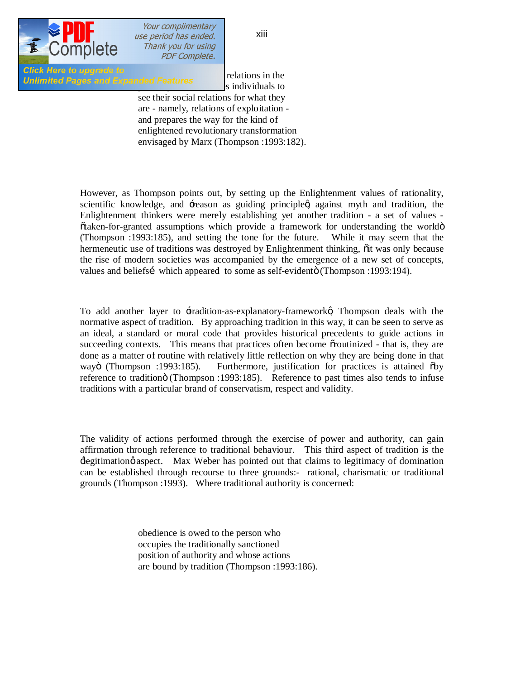

xiii

Unlimited Pages and Expanded Features Felations in the

s individuals to see their social relations for what they are - namely, relations of exploitation and prepares the way for the kind of enlightened revolutionary transformation envisaged by Marx (Thompson :1993:182).

However, as Thompson points out, by setting up the Enlightenment values of rationality, scientific knowledge, and -reason as guiding principleg against myth and tradition, the Enlightenment thinkers were merely establishing yet another tradition - a set of values -  $\alpha$  otaken-for-granted assumptions which provide a framework for understanding the world $\ddot{o}$ (Thompson :1993:185), and setting the tone for the future. While it may seem that the hermeneutic use of traditions was destroyed by Enlightenment thinking,  $\ddot{\text{o}}$  it was only because the rise of modern societies was accompanied by the emergence of a new set of concepts, values and beliefs *which appeared to some as self-evident* (Thompson :1993:194).

To add another layer to  $\pm$ radition-as-explanatory-frameworkg Thompson deals with the normative aspect of tradition. By approaching tradition in this way, it can be seen to serve as an ideal, a standard or moral code that provides historical precedents to guide actions in succeeding contexts. This means that practices often become organized - that is, they are done as a matter of routine with relatively little reflection on why they are being done in that wayö (Thompson :1993:185). Furthermore, justification for practices is attained õby reference to tradition o (Thompson : 1993:185). Reference to past times also tends to infuse traditions with a particular brand of conservatism, respect and validity.

The validity of actions performed through the exercise of power and authority, can gain affirmation through reference to traditional behaviour. This third aspect of tradition is the Hegitimation gaspect. Max Weber has pointed out that claims to legitimacy of domination can be established through recourse to three grounds:- rational, charismatic or traditional grounds (Thompson :1993). Where traditional authority is concerned:

> obedience is owed to the person who occupies the traditionally sanctioned position of authority and whose actions are bound by tradition (Thompson :1993:186).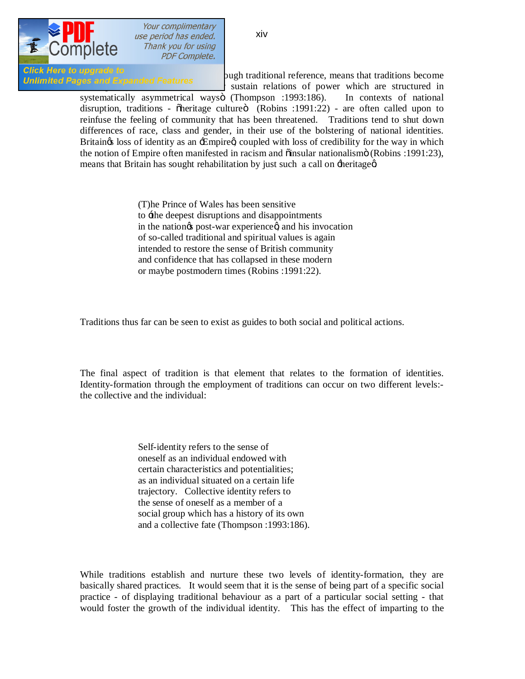

Click Here to upgrade to<br>
Unlimited Pages and Expanded Features<br>
Unlimited Pages and Expanded Features sustain relations of power which are structured in

systematically asymmetrical ways (Thompson :1993:186). In contexts of national disruption, traditions - õheritage cultureö (Robins :1991:22) - are often called upon to reinfuse the feeling of community that has been threatened. Traditions tend to shut down differences of race, class and gender, in their use of the bolstering of national identities. Britaings loss of identity as an  $\pm$ mpireg coupled with loss of credibility for the way in which the notion of Empire often manifested in racism and  $\ddot{\text{o}}$  insular nationalism (Robins :1991:23), means that Britain has sought rehabilitation by just such a call on  $\pm$ heritage $\alpha$ 

> (T)he Prince of Wales has been sensitive to 'the deepest disruptions and disappointments in the nationgs post-war experienceg and his invocation of so-called traditional and spiritual values is again intended to restore the sense of British community and confidence that has collapsed in these modern or maybe postmodern times (Robins :1991:22).

Traditions thus far can be seen to exist as guides to both social and political actions.

The final aspect of tradition is that element that relates to the formation of identities. Identity-formation through the employment of traditions can occur on two different levels: the collective and the individual:

> Self-identity refers to the sense of oneself as an individual endowed with certain characteristics and potentialities; as an individual situated on a certain life trajectory. Collective identity refers to the sense of oneself as a member of a social group which has a history of its own and a collective fate (Thompson :1993:186).

While traditions establish and nurture these two levels of identity-formation, they are basically shared practices. It would seem that it is the sense of being part of a specific social practice - of displaying traditional behaviour as a part of a particular social setting - that would foster the growth of the individual identity. This has the effect of imparting to the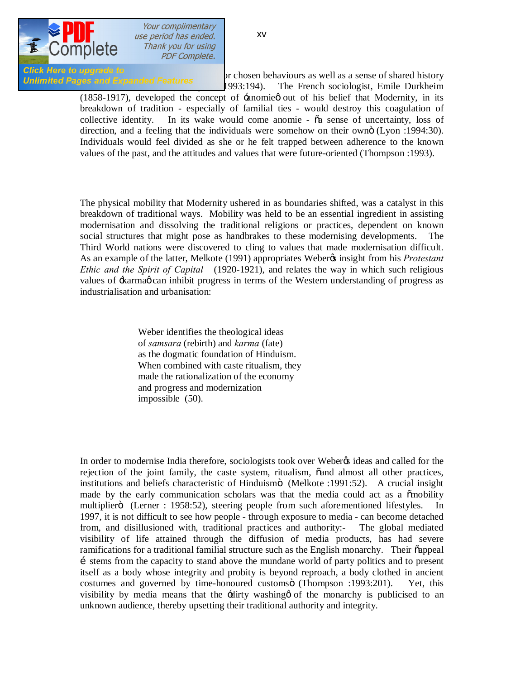

Click Here to upgrade to<br>Unlimited Pages and Expanded Features<br> $\frac{1002400}{\pi}$   $\frac{1007.104}{\pi}$   $\frac{1}{\pi}$   $\frac{1}{\pi}$   $\frac{1}{\pi}$   $\frac{1}{\pi}$   $\frac{1}{\pi}$   $\frac{1}{\pi}$   $\frac{1}{\pi}$   $\frac{1}{\pi}$ 1993:194). The French sociologist, Emile Durkheim

 $(1858-1917)$ , developed the concept of  $\pm$ anomieg out of his belief that Modernity, in its breakdown of tradition - especially of familial ties - would destroy this coagulation of collective identity. In its wake would come anomie -  $\tilde{o}a$  sense of uncertainty, loss of direction, and a feeling that the individuals were somehow on their ownö (Lyon :1994:30). Individuals would feel divided as she or he felt trapped between adherence to the known values of the past, and the attitudes and values that were future-oriented (Thompson :1993).

The physical mobility that Modernity ushered in as boundaries shifted, was a catalyst in this breakdown of traditional ways. Mobility was held to be an essential ingredient in assisting modernisation and dissolving the traditional religions or practices, dependent on known social structures that might pose as handbrakes to these modernising developments. The Third World nations were discovered to cling to values that made modernisation difficult. As an example of the latter, Melkote (1991) appropriates Weber<sub>%</sub> insight from his *Protestant Ethic and the Spirit of Capital* (1920-1921), and relates the way in which such religious values of  $\pm$ armaø can inhibit progress in terms of the Western understanding of progress as industrialisation and urbanisation:

> Weber identifies the theological ideas of *samsara* (rebirth) and *karma* (fate) as the dogmatic foundation of Hinduism. When combined with caste ritualism, they made the rationalization of the economy and progress and modernization impossible (50).

In order to modernise India therefore, sociologists took over Weber ideas and called for the rejection of the joint family, the caste system, ritualism,  $\tilde{\text{a}}$  and almost all other practices, institutions and beliefs characteristic of Hinduismö (Melkote :1991:52). A crucial insight made by the early communication scholars was that the media could act as a  $\ddot{\text{om}}$ multiplierö (Lerner : 1958:52), steering people from such aforementioned lifestyles. In 1997, it is not difficult to see how people - through exposure to media - can become detached from, and disillusioned with, traditional practices and authority:- The global mediated visibility of life attained through the diffusion of media products, has had severe ramifications for a traditional familial structure such as the English monarchy. Their oappeal …stems from the capacity to stand above the mundane world of party politics and to present itself as a body whose integrity and probity is beyond reproach, a body clothed in ancient costumes and governed by time-honoured customs o (Thompson :1993:201). Yet, this visibility by media means that the -dirty washing of the monarchy is publicised to an unknown audience, thereby upsetting their traditional authority and integrity.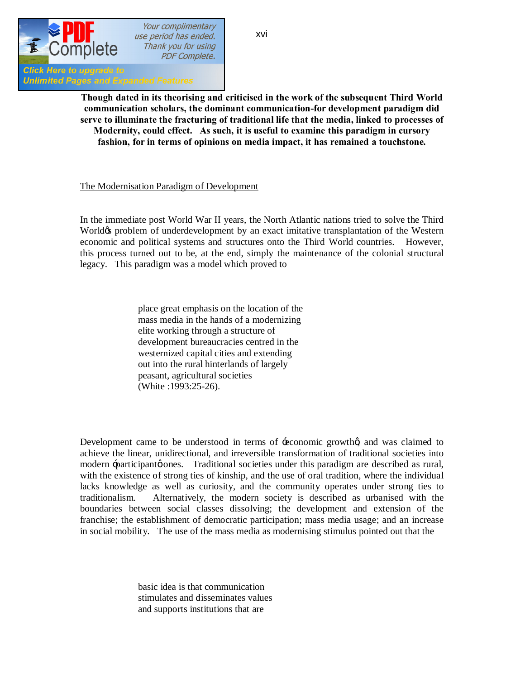

**Unlimited Pages and Expanded Features** 

Your complimentary use period has ended. Thank you for using **PDF Complete.** 

xvi

**Though dated in its theorising and criticised in the work of the subsequent Third World communication scholars, the dominant communication-for development paradigm did serve to illuminate the fracturing of traditional life that the media, linked to processes of Modernity, could effect. As such, it is useful to examine this paradigm in cursory fashion, for in terms of opinions on media impact, it has remained a touchstone.**

#### The Modernisation Paradigm of Development

In the immediate post World War II years, the North Atlantic nations tried to solve the Third Worldøs problem of underdevelopment by an exact imitative transplantation of the Western economic and political systems and structures onto the Third World countries. However, this process turned out to be, at the end, simply the maintenance of the colonial structural legacy. This paradigm was a model which proved to

> place great emphasis on the location of the mass media in the hands of a modernizing elite working through a structure of development bureaucracies centred in the westernized capital cities and extending out into the rural hinterlands of largely peasant, agricultural societies (White :1993:25-26).

Development came to be understood in terms of -economic growth and was claimed to achieve the linear, unidirectional, and irreversible transformation of traditional societies into modern -participant *o* ones. Traditional societies under this paradigm are described as rural, with the existence of strong ties of kinship, and the use of oral tradition, where the individual lacks knowledge as well as curiosity, and the community operates under strong ties to traditionalism. Alternatively, the modern society is described as urbanised with the boundaries between social classes dissolving; the development and extension of the franchise; the establishment of democratic participation; mass media usage; and an increase in social mobility. The use of the mass media as modernising stimulus pointed out that the

> basic idea is that communication stimulates and disseminates values and supports institutions that are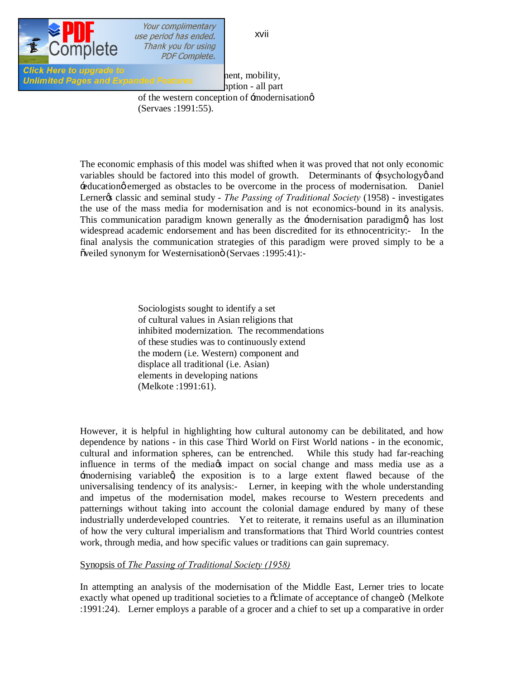

xvii

enck Here to apgrade to<br>Unlimited Pages and Expanded Features and the setting of the set

nption - all part of the western conception of  $\pm$ modernisation $\phi$ (Servaes :1991:55).

The economic emphasis of this model was shifted when it was proved that not only economic variables should be factored into this model of growth. Determinants of  $\exists$ psychology and 'education' emerged as obstacles to be overcome in the process of modernisation. Daniel Lerner<sub>®</sub> classic and seminal study - *The Passing of Traditional Society* (1958) - investigates the use of the mass media for modernisation and is not economics-bound in its analysis. This communication paradigm known generally as the -modernisation paradigm of has lost widespread academic endorsement and has been discredited for its ethnocentricity:- In the final analysis the communication strategies of this paradigm were proved simply to be a  $\tilde{\text{o}}$  veiled synonym for Westernisation (Servaes : 1995:41):-

> Sociologists sought to identify a set of cultural values in Asian religions that inhibited modernization. The recommendations of these studies was to continuously extend the modern (i.e. Western) component and displace all traditional (i.e. Asian) elements in developing nations (Melkote :1991:61).

However, it is helpful in highlighting how cultural autonomy can be debilitated, and how dependence by nations - in this case Third World on First World nations - in the economic, cultural and information spheres, can be entrenched. While this study had far-reaching influence in terms of the media impact on social change and mass media use as a 'modernising variable', the exposition is to a large extent flawed because of the universalising tendency of its analysis:- Lerner, in keeping with the whole understanding and impetus of the modernisation model, makes recourse to Western precedents and patternings without taking into account the colonial damage endured by many of these industrially underdeveloped countries. Yet to reiterate, it remains useful as an illumination of how the very cultural imperialism and transformations that Third World countries contest work, through media, and how specific values or traditions can gain supremacy.

#### Synopsis of *The Passing of Traditional Society (1958)*

In attempting an analysis of the modernisation of the Middle East, Lerner tries to locate exactly what opened up traditional societies to a  $\tilde{\text{o}}$ climate of acceptance of change  $\tilde{\text{o}}$  (Melkote :1991:24). Lerner employs a parable of a grocer and a chief to set up a comparative in order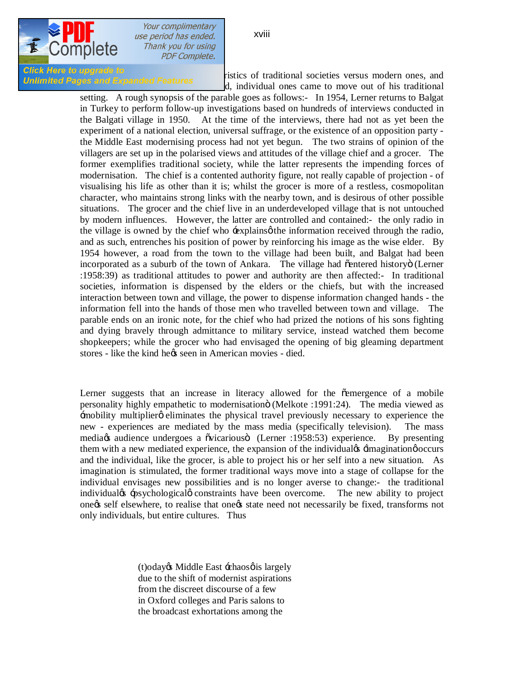

Click Here to upgrade to<br>
Unlimited Pages and Expanded Features<br>
The distributional societies versus modern ones, and<br>  $\frac{1}{2}$ d, individual ones came to move out of his traditional

> setting. A rough synopsis of the parable goes as follows:- In 1954, Lerner returns to Balgat in Turkey to perform follow-up investigations based on hundreds of interviews conducted in the Balgati village in 1950. At the time of the interviews, there had not as yet been the experiment of a national election, universal suffrage, or the existence of an opposition party the Middle East modernising process had not yet begun. The two strains of opinion of the villagers are set up in the polarised views and attitudes of the village chief and a grocer. The former exemplifies traditional society, while the latter represents the impending forces of modernisation. The chief is a contented authority figure, not really capable of projection - of visualising his life as other than it is; whilst the grocer is more of a restless, cosmopolitan character, who maintains strong links with the nearby town, and is desirous of other possible situations. The grocer and the chief live in an underdeveloped village that is not untouched by modern influences. However, the latter are controlled and contained:- the only radio in the village is owned by the chief who -explains the information received through the radio, and as such, entrenches his position of power by reinforcing his image as the wise elder. By 1954 however, a road from the town to the village had been built, and Balgat had been incorporated as a suburb of the town of Ankara. The village had  $\ddot{o}$  entered history $\ddot{o}$  (Lerner :1958:39) as traditional attitudes to power and authority are then affected:- In traditional societies, information is dispensed by the elders or the chiefs, but with the increased interaction between town and village, the power to dispense information changed hands - the information fell into the hands of those men who travelled between town and village. The parable ends on an ironic note, for the chief who had prized the notions of his sons fighting and dying bravely through admittance to military service, instead watched them become shopkeepers; while the grocer who had envisaged the opening of big gleaming department stores - like the kind he $\alpha$  seen in American movies - died.

> Lerner suggests that an increase in literacy allowed for the  $\tilde{c}$  emergence of a mobile personality highly empathetic to modernisation (Melkote : 1991:24). The media viewed as 'mobility multiplier' eliminates the physical travel previously necessary to experience the new - experiences are mediated by the mass media (specifically television). The mass media $\alpha$ s audience undergoes a õvicariousö (Lerner :1958:53) experience. By presenting them with a new mediated experience, the expansion of the individual  $\alpha$  -imagination  $\beta$  occurs and the individual, like the grocer, is able to project his or her self into a new situation. As imagination is stimulated, the former traditional ways move into a stage of collapse for the individual envisages new possibilities and is no longer averse to change:- the traditional individual<sub>/8</sub> + psychological *p* constraints have been overcome. The new ability to project one  $\alpha$  self elsewhere, to realise that one  $\alpha$  state need not necessarily be fixed, transforms not only individuals, but entire cultures. Thus

> > (t)oday $\circ$ s Middle East ÷chaosø is largely due to the shift of modernist aspirations from the discreet discourse of a few in Oxford colleges and Paris salons to the broadcast exhortations among the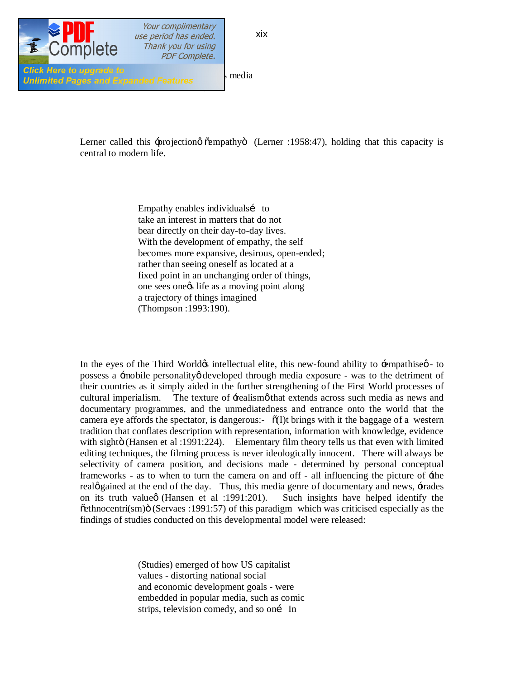

Lerner called this  $\pm$ projectiong  $\bar{\text{c}}$ empathy $\ddot{\text{o}}$  (Lerner :1958:47), holding that this capacity is central to modern life.

> Empathy enables individualsí to take an interest in matters that do not bear directly on their day-to-day lives. With the development of empathy, the self becomes more expansive, desirous, open-ended; rather than seeing oneself as located at a fixed point in an unchanging order of things, one sees one<sub>%</sub> life as a moving point along a trajectory of things imagined (Thompson :1993:190).

In the eyes of the Third Worldgs intellectual elite, this new-found ability to  $\pm$ empathiseg - to possess a -mobile personality odeveloped through media exposure - was to the detriment of their countries as it simply aided in the further strengthening of the First World processes of cultural imperialism. The texture of  $\pm$  realisme that extends across such media as news and documentary programmes, and the unmediatedness and entrance onto the world that the camera eye affords the spectator, is dangerous:-  $\delta(I)$ t brings with it the baggage of a western tradition that conflates description with representation, information with knowledge, evidence with sightö (Hansen et al :1991:224). Elementary film theory tells us that even with limited editing techniques, the filming process is never ideologically innocent. There will always be selectivity of camera position, and decisions made - determined by personal conceptual frameworks - as to when to turn the camera on and off - all influencing the picture of  $\pm$ he realg gained at the end of the day. Thus, this media genre of documentary and news,  $\pm$ rades on its truth value (Hansen et al :1991:201). Such insights have helped identify the  $\delta$ ethnocentri(sm) $\delta$  (Servaes :1991:57) of this paradigm which was criticised especially as the findings of studies conducted on this developmental model were released:

> (Studies) emerged of how US capitalist values - distorting national social and economic development goals - were embedded in popular media, such as comic strips, television comedy, and so oni In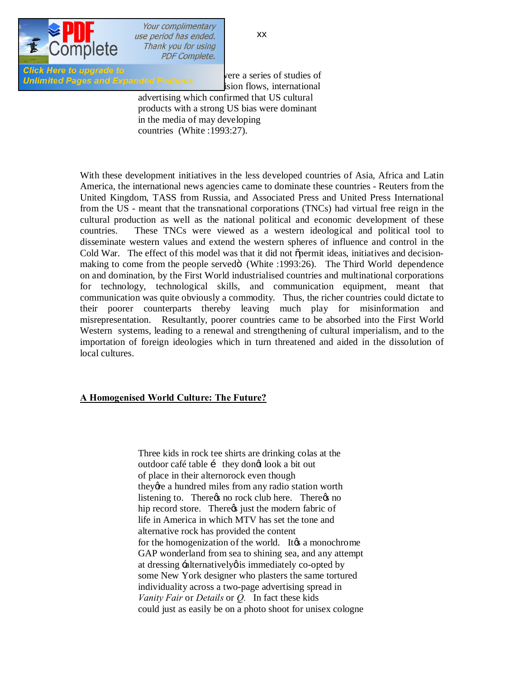

xx

**Unlimited Pages and Expanded Features** vere a series of studies of

ision flows, international advertising which confirmed that US cultural products with a strong US bias were dominant in the media of may developing countries (White :1993:27).

With these development initiatives in the less developed countries of Asia, Africa and Latin America, the international news agencies came to dominate these countries - Reuters from the United Kingdom, TASS from Russia, and Associated Press and United Press International from the US - meant that the transnational corporations (TNCs) had virtual free reign in the cultural production as well as the national political and economic development of these countries. These TNCs were viewed as a western ideological and political tool to disseminate western values and extend the western spheres of influence and control in the Cold War. The effect of this model was that it did not õpermit ideas, initiatives and decisionmaking to come from the people servedö (White :1993:26). The Third World dependence on and domination, by the First World industrialised countries and multinational corporations for technology, technological skills, and communication equipment, meant that communication was quite obviously a commodity. Thus, the richer countries could dictate to their poorer counterparts thereby leaving much play for misinformation and misrepresentation. Resultantly, poorer countries came to be absorbed into the First World Western systems, leading to a renewal and strengthening of cultural imperialism, and to the importation of foreign ideologies which in turn threatened and aided in the dissolution of local cultures.

#### **A Homogenised World Culture: The Future?**

Three kids in rock tee shirts are drinking colas at the outdoor café table í they dongt look a bit out of place in their alternorock even though they a hundred miles from any radio station worth listening to. There *is* no rock club here. There *is* no hip record store. There is just the modern fabric of life in America in which MTV has set the tone and alternative rock has provided the content for the homogenization of the world. It is a monochrome GAP wonderland from sea to shining sea, and any attempt at dressing -alternatively is immediately co-opted by some New York designer who plasters the same tortured individuality across a two-page advertising spread in *Vanity Fair* or *Details* or *Q.* In fact these kids could just as easily be on a photo shoot for unisex cologne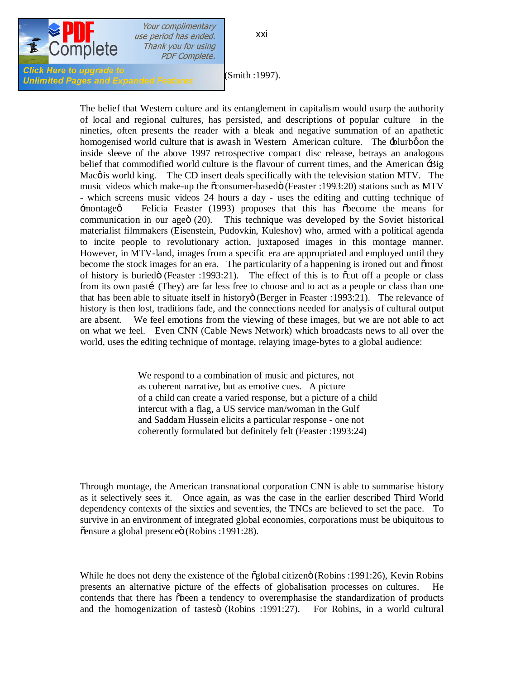

xxi

anck Here to upgrade to<br>Unlimited Pages and Expanded Features (Smith :1997).

The belief that Western culture and its entanglement in capitalism would usurp the authority of local and regional cultures, has persisted, and descriptions of popular culture in the nineties, often presents the reader with a bleak and negative summation of an apathetic homogenised world culture that is awash in Western American culture. The -blurboon the inside sleeve of the above 1997 retrospective compact disc release, betrays an analogous belief that commodified world culture is the flavour of current times, and the American 'Big Macø is world king. The CD insert deals specifically with the television station MTV. The music videos which make-up the  $\tilde{\text{c}}$ consumer-based $\ddot{\text{o}}$  (Feaster :1993:20) stations such as MTV - which screens music videos 24 hours a day - uses the editing and cutting technique of 'montage'. Felicia Feaster (1993) proposes that this has "become the means for communication in our age  $(20)$ . This technique was developed by the Soviet historical materialist filmmakers (Eisenstein, Pudovkin, Kuleshov) who, armed with a political agenda to incite people to revolutionary action, juxtaposed images in this montage manner. However, in MTV-land, images from a specific era are appropriated and employed until they become the stock images for an era. The particularity of a happening is ironed out and  $\tilde{o}$  most of history is buried (Feaster : 1993:21). The effect of this is to  $\tilde{\text{c}}$  cut off a people or class from its own past (They) are far less free to choose and to act as a people or class than one that has been able to situate itself in historyo (Berger in Feaster : 1993:21). The relevance of history is then lost, traditions fade, and the connections needed for analysis of cultural output are absent. We feel emotions from the viewing of these images, but we are not able to act on what we feel. Even CNN (Cable News Network) which broadcasts news to all over the world, uses the editing technique of montage, relaying image-bytes to a global audience:

> We respond to a combination of music and pictures, not as coherent narrative, but as emotive cues. A picture of a child can create a varied response, but a picture of a child intercut with a flag, a US service man/woman in the Gulf and Saddam Hussein elicits a particular response - one not coherently formulated but definitely felt (Feaster :1993:24)

Through montage, the American transnational corporation CNN is able to summarise history as it selectively sees it. Once again, as was the case in the earlier described Third World dependency contexts of the sixties and seventies, the TNCs are believed to set the pace. To survive in an environment of integrated global economies, corporations must be ubiquitous to õensure a global presenceö (Robins :1991:28).

While he does not deny the existence of the õglobal citizenö (Robins :1991:26), Kevin Robins presents an alternative picture of the effects of globalisation processes on cultures. He contends that there has "been a tendency to overemphasise the standardization of products and the homogenization of tastes (Robins : 1991:27). For Robins, in a world cultural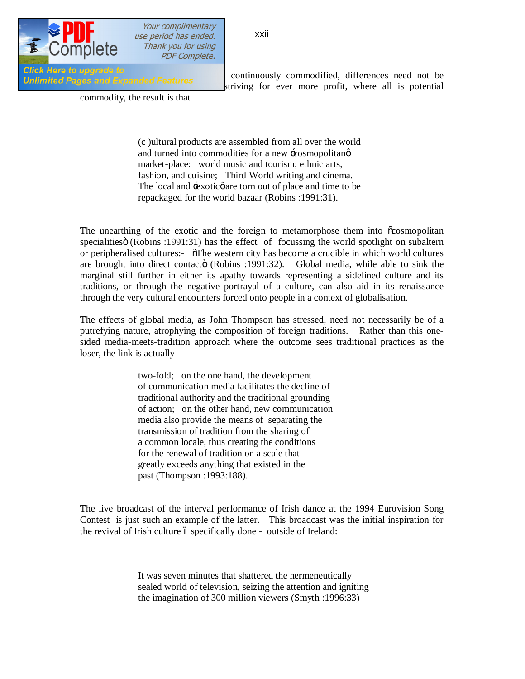

Click Here to upgrade to<br>Unlimited Pages and Expanded Features<br>Continuously commodified, differences need not be striving for ever more profit, where all is potential

commodity, the result is that

(c )ultural products are assembled from all over the world and turned into commodities for a new  $\pm$ osmopolitan $\phi$ market-place: world music and tourism; ethnic arts, fashion, and cuisine; Third World writing and cinema. The local and  $\pm$ xotic $\phi$  are torn out of place and time to be repackaged for the world bazaar (Robins :1991:31).

The unearthing of the exotic and the foreign to metamorphose them into  $\tilde{\alpha}$ cosmopolitan specialities (Robins : 1991:31) has the effect of focussing the world spotlight on subaltern or peripheralised cultures:-  $\delta$ The western city has become a crucible in which world cultures are brought into direct contacto (Robins :1991:32). Global media, while able to sink the marginal still further in either its apathy towards representing a sidelined culture and its traditions, or through the negative portrayal of a culture, can also aid in its renaissance through the very cultural encounters forced onto people in a context of globalisation.

The effects of global media, as John Thompson has stressed, need not necessarily be of a putrefying nature, atrophying the composition of foreign traditions. Rather than this onesided media-meets-tradition approach where the outcome sees traditional practices as the loser, the link is actually

> two-fold; on the one hand, the development of communication media facilitates the decline of traditional authority and the traditional grounding of action; on the other hand, new communication media also provide the means of separating the transmission of tradition from the sharing of a common locale, thus creating the conditions for the renewal of tradition on a scale that greatly exceeds anything that existed in the past (Thompson :1993:188).

The live broadcast of the interval performance of Irish dance at the 1994 Eurovision Song Contest is just such an example of the latter. This broadcast was the initial inspiration for the revival of Irish culture 6 specifically done - outside of Ireland:

> It was seven minutes that shattered the hermeneutically sealed world of television, seizing the attention and igniting the imagination of 300 million viewers (Smyth :1996:33)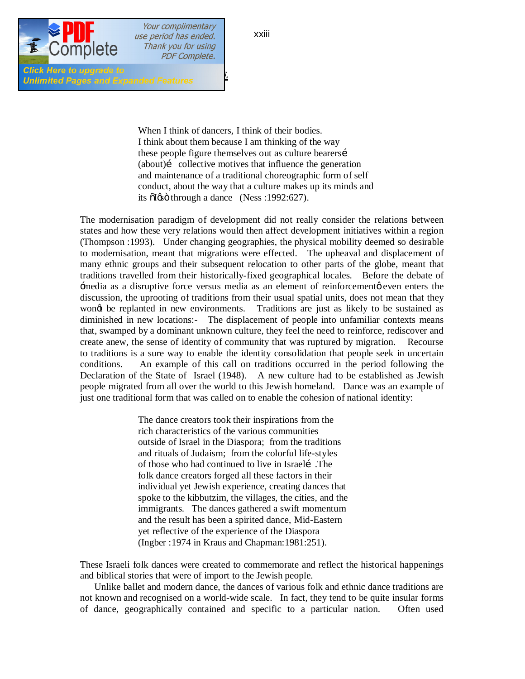

xxiii

When I think of dancers, I think of their bodies. I think about them because I am thinking of the way these people figure themselves out as culture bearers (about) i collective motives that influence the generation and maintenance of a traditional choreographic form of self conduct, about the way that a culture makes up its minds and its õlgsö through a dance (Ness : 1992:627).

The modernisation paradigm of development did not really consider the relations between states and how these very relations would then affect development initiatives within a region (Thompson :1993). Under changing geographies, the physical mobility deemed so desirable to modernisation, meant that migrations were effected. The upheaval and displacement of many ethnic groups and their subsequent relocation to other parts of the globe, meant that traditions travelled from their historically-fixed geographical locales. Before the debate of  $\pm$ media as a disruptive force versus media as an element of reinforcement  $\phi$  even enters the discussion, the uprooting of traditions from their usual spatial units, does not mean that they wong be replanted in new environments. Traditions are just as likely to be sustained as diminished in new locations:- The displacement of people into unfamiliar contexts means that, swamped by a dominant unknown culture, they feel the need to reinforce, rediscover and create anew, the sense of identity of community that was ruptured by migration. Recourse to traditions is a sure way to enable the identity consolidation that people seek in uncertain conditions. An example of this call on traditions occurred in the period following the Declaration of the State of Israel (1948). A new culture had to be established as Jewish people migrated from all over the world to this Jewish homeland. Dance was an example of just one traditional form that was called on to enable the cohesion of national identity:

> The dance creators took their inspirations from the rich characteristics of the various communities outside of Israel in the Diaspora; from the traditions and rituals of Judaism; from the colorful life-styles of those who had continued to live in Israelí. The folk dance creators forged all these factors in their individual yet Jewish experience, creating dances that spoke to the kibbutzim, the villages, the cities, and the immigrants. The dances gathered a swift momentum and the result has been a spirited dance, Mid-Eastern yet reflective of the experience of the Diaspora (Ingber :1974 in Kraus and Chapman:1981:251).

These Israeli folk dances were created to commemorate and reflect the historical happenings and biblical stories that were of import to the Jewish people.

 Unlike ballet and modern dance, the dances of various folk and ethnic dance traditions are not known and recognised on a world-wide scale. In fact, they tend to be quite insular forms of dance, geographically contained and specific to a particular nation. Often used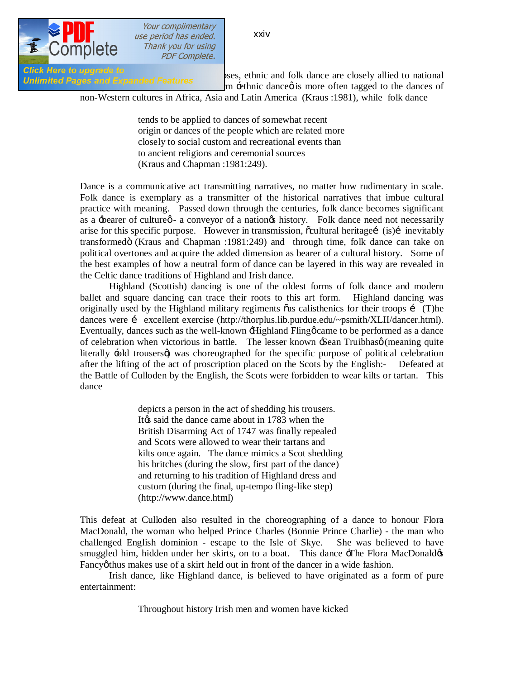

xxiv

Click Here to upgrade to<br>
Unlimited Pages and Expanded Features<br>
Some that the second that the design of the second that the second that the second that the second that the second that the second that the second that the s m -ethnic dance  $\phi$  is more often tagged to the dances of

non-Western cultures in Africa, Asia and Latin America (Kraus :1981), while folk dance

 tends to be applied to dances of somewhat recent origin or dances of the people which are related more closely to social custom and recreational events than to ancient religions and ceremonial sources (Kraus and Chapman :1981:249).

Dance is a communicative act transmitting narratives, no matter how rudimentary in scale. Folk dance is exemplary as a transmitter of the historical narratives that imbue cultural practice with meaning. Passed down through the centuries, folk dance becomes significant as a  $\pm$ bearer of culture $\varphi$  - a conveyor of a nationgs history. Folk dance need not necessarily arise for this specific purpose. However in transmission,  $\tilde{\text{c}}$ cultural heritagei (is)i inevitably transformed" (Kraus and Chapman :1981:249) and through time, folk dance can take on political overtones and acquire the added dimension as bearer of a cultural history. Some of the best examples of how a neutral form of dance can be layered in this way are revealed in the Celtic dance traditions of Highland and Irish dance.

Highland (Scottish) dancing is one of the oldest forms of folk dance and modern ballet and square dancing can trace their roots to this art form. Highland dancing was originally used by the Highland military regiments  $\tilde{\alpha}$  as calisthenics for their troops i (T)he dances were i excellent exercise (http://thorplus.lib.purdue.edu/~psmith/XLII/dancer.html). Eventually, dances such as the well-known -Highland Fling of came to be performed as a dance of celebration when victorious in battle. The lesser known -Sean Truibhas  $\phi$  (meaning quite literally  $\rightarrow$ old trousers $\phi$ ) was choreographed for the specific purpose of political celebration after the lifting of the act of proscription placed on the Scots by the English:- Defeated at the Battle of Culloden by the English, the Scots were forbidden to wear kilts or tartan. This dance

> depicts a person in the act of shedding his trousers. Itøs said the dance came about in 1783 when the British Disarming Act of 1747 was finally repealed and Scots were allowed to wear their tartans and kilts once again. The dance mimics a Scot shedding his britches (during the slow, first part of the dance) and returning to his tradition of Highland dress and custom (during the final, up-tempo fling-like step) (http://www.dance.html)

This defeat at Culloden also resulted in the choreographing of a dance to honour Flora MacDonald, the woman who helped Prince Charles (Bonnie Prince Charlie) - the man who challenged English dominion - escape to the Isle of Skye. She was believed to have smuggled him, hidden under her skirts, on to a boat. This dance  $\pm$ The Flora MacDonald $\phi$ s Fancy othus makes use of a skirt held out in front of the dancer in a wide fashion.

Irish dance, like Highland dance, is believed to have originated as a form of pure entertainment:

Throughout history Irish men and women have kicked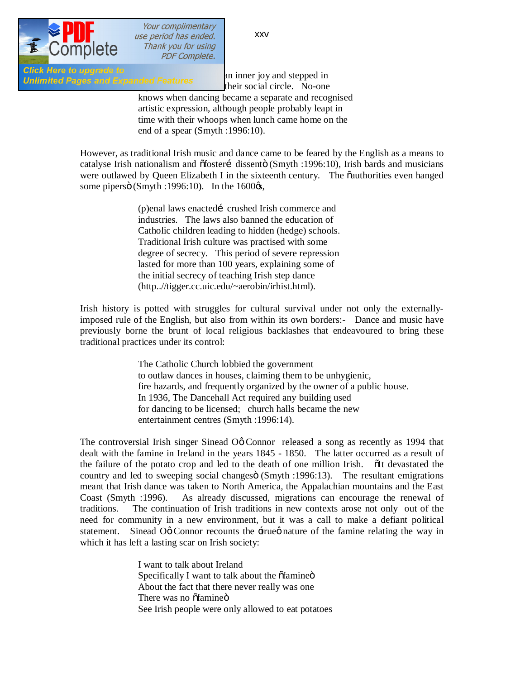

xxv

**Until here to upgrade to**<br>**Unlimited Pages and Expanded Features** and inner joy and stepped in their social circle. No-one

> knows when dancing became a separate and recognised artistic expression, although people probably leapt in time with their whoops when lunch came home on the end of a spear (Smyth :1996:10).

However, as traditional Irish music and dance came to be feared by the English as a means to catalyse Irish nationalism and  $\delta$ fosterí dissentö (Smyth :1996:10), Irish bards and musicians were outlawed by Queen Elizabeth I in the sixteenth century. The õauthorities even hanged some pipersö (Smyth : 1996:10). In the  $1600\%$ ,

> (p)enal laws enacted i crushed Irish commerce and industries. The laws also banned the education of Catholic children leading to hidden (hedge) schools. Traditional Irish culture was practised with some degree of secrecy. This period of severe repression lasted for more than 100 years, explaining some of the initial secrecy of teaching Irish step dance (http..//tigger.cc.uic.edu/~aerobin/irhist.html).

Irish history is potted with struggles for cultural survival under not only the externallyimposed rule of the English, but also from within its own borders:- Dance and music have previously borne the brunt of local religious backlashes that endeavoured to bring these traditional practices under its control:

> The Catholic Church lobbied the government to outlaw dances in houses, claiming them to be unhygienic, fire hazards, and frequently organized by the owner of a public house. In 1936, The Dancehall Act required any building used for dancing to be licensed; church halls became the new entertainment centres (Smyth :1996:14).

The controversial Irish singer Sinead  $O\phi$  Connor released a song as recently as 1994 that dealt with the famine in Ireland in the years 1845 - 1850. The latter occurred as a result of the failure of the potato crop and led to the death of one million Irish. "It devastated the country and led to sweeping social changes (Smyth : 1996:13). The resultant emigrations meant that Irish dance was taken to North America, the Appalachian mountains and the East Coast (Smyth :1996). As already discussed, migrations can encourage the renewal of traditions. The continuation of Irish traditions in new contexts arose not only out of the need for community in a new environment, but it was a call to make a defiant political statement. Sinead  $O\phi$  Connor recounts the  $\pm$ rue $\phi$  nature of the famine relating the way in which it has left a lasting scar on Irish society:

> I want to talk about Ireland Specifically I want to talk about the offamine of About the fact that there never really was one There was no ofamineo See Irish people were only allowed to eat potatoes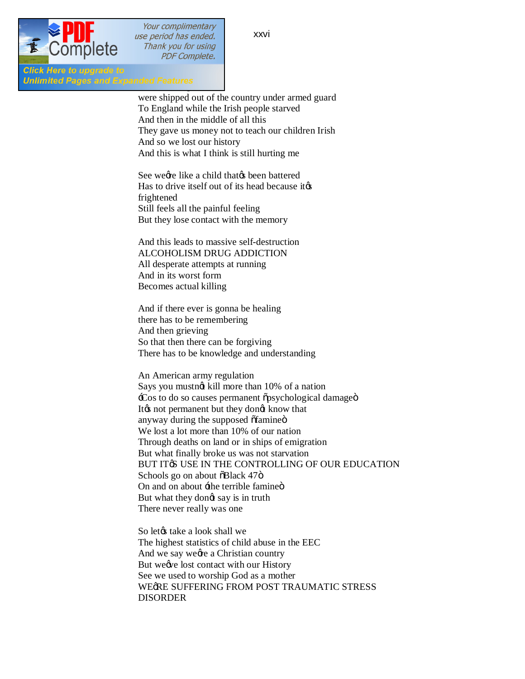

xxvi

# $\frac{1}{2}$  catures

were shipped out of the country under armed guard To England while the Irish people starved And then in the middle of all this They gave us money not to teach our children Irish And so we lost our history And this is what I think is still hurting me

See weere like a child thates been battered Has to drive itself out of its head because its frightened Still feels all the painful feeling But they lose contact with the memory

And this leads to massive self-destruction ALCOHOLISM DRUG ADDICTION All desperate attempts at running And in its worst form Becomes actual killing

And if there ever is gonna be healing there has to be remembering And then grieving So that then there can be forgiving There has to be knowledge and understanding

An American army regulation Says you mustngt kill more than 10% of a nation : Cos to do so causes permanent õpsychological damageö It they dongtharpoont but they dongtharpoont that anyway during the supposed õfamineö We lost a lot more than 10% of our nation Through deaths on land or in ships of emigration But what finally broke us was not starvation BUT IT SUSE IN THE CONTROLLING OF OUR EDUCATION Schools go on about õBlack 47ö On and on about  $\pm$  the terrible famine  $\ddot{\mathrm{o}}$ But what they dongt say is in truth There never really was one

So letøs take a look shall we The highest statistics of child abuse in the EEC And we say we gre a Christian country But weave lost contact with our History See we used to worship God as a mother WEARE SUFFERING FROM POST TRAUMATIC STRESS DISORDER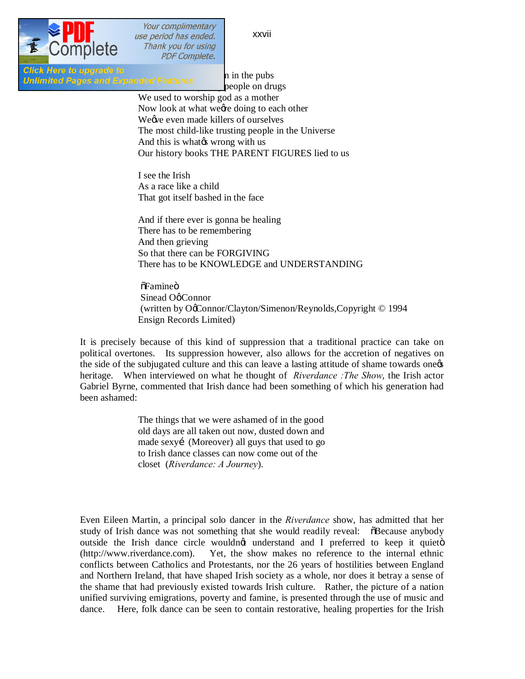

**Click Here to upgrade to** 

Your complimentary use period has ended. Thank you for using **PDF Complete.** 

xxvii

Unlimited Pages and Expanded Features him the pubs

people on drugs

We used to worship god as a mother Now look at what we e doing to each other We we even made killers of ourselves The most child-like trusting people in the Universe And this is what the wrong with us Our history books THE PARENT FIGURES lied to us

I see the Irish As a race like a child That got itself bashed in the face

And if there ever is gonna be healing There has to be remembering And then grieving So that there can be FORGIVING There has to be KNOWLEDGE and UNDERSTANDING

 $\tilde{\sigma}$ Famineö Sinead Oø Connor (written by Octonnor/Clayton/Simenon/Reynolds, Copyright © 1994 Ensign Records Limited)

It is precisely because of this kind of suppression that a traditional practice can take on political overtones. Its suppression however, also allows for the accretion of negatives on the side of the subjugated culture and this can leave a lasting attitude of shame towards onego heritage. When interviewed on what he thought of *Riverdance :The Show*, the Irish actor Gabriel Byrne, commented that Irish dance had been something of which his generation had been ashamed:

> The things that we were ashamed of in the good old days are all taken out now, dusted down and made sexyí (Moreover) all guys that used to go to Irish dance classes can now come out of the closet (*Riverdance: A Journey*).

Even Eileen Martin, a principal solo dancer in the *Riverdance* show, has admitted that her study of Irish dance was not something that she would readily reveal: "Because anybody outside the Irish dance circle would nd understand and I preferred to keep it quieto (http://www.riverdance.com). Yet, the show makes no reference to the internal ethnic conflicts between Catholics and Protestants, nor the 26 years of hostilities between England and Northern Ireland, that have shaped Irish society as a whole, nor does it betray a sense of the shame that had previously existed towards Irish culture. Rather, the picture of a nation unified surviving emigrations, poverty and famine, is presented through the use of music and dance. Here, folk dance can be seen to contain restorative, healing properties for the Irish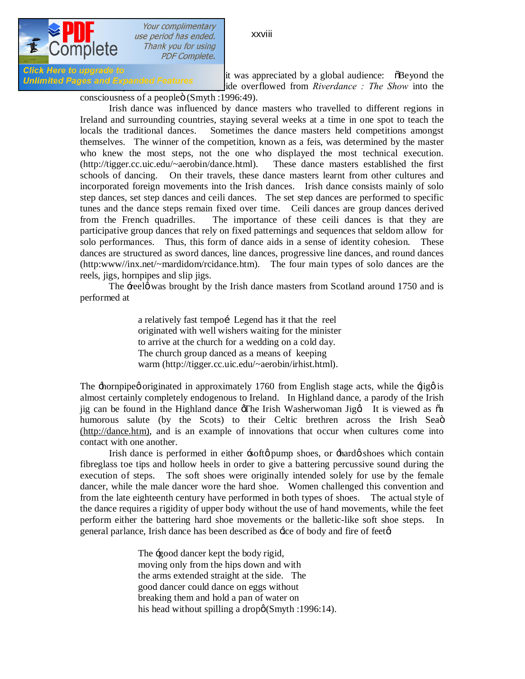

xxviii

Click Here to upgrade to<br>
Unlimited Pages and Expanded Features it was appreciated by a global audience:  $\frac{\delta B}{\delta V}$  of the d ide overflowed from *Riverdance : The Show* into the

consciousness of a peopleö (Smyth : 1996:49).

Irish dance was influenced by dance masters who travelled to different regions in Ireland and surrounding countries, staying several weeks at a time in one spot to teach the locals the traditional dances. Sometimes the dance masters held competitions amongst themselves. The winner of the competition, known as a feis, was determined by the master who knew the most steps, not the one who displayed the most technical execution. (http://tigger.cc.uic.edu/~aerobin/dance.html). These dance masters established the first schools of dancing. On their travels, these dance masters learnt from other cultures and incorporated foreign movements into the Irish dances. Irish dance consists mainly of solo step dances, set step dances and ceili dances. The set step dances are performed to specific tunes and the dance steps remain fixed over time. Ceili dances are group dances derived from the French quadrilles. The importance of these ceili dances is that they are participative group dances that rely on fixed patternings and sequences that seldom allow for solo performances. Thus, this form of dance aids in a sense of identity cohesion. These dances are structured as sword dances, line dances, progressive line dances, and round dances (http:www//inx.net/~mardidom/rcidance.htm). The four main types of solo dances are the reels, jigs, hornpipes and slip jigs.

The  $\pm$ reelg was brought by the Irish dance masters from Scotland around 1750 and is performed at

> a relatively fast tempoi Legend has it that the reel originated with well wishers waiting for the minister to arrive at the church for a wedding on a cold day. The church group danced as a means of keeping warm (http://tigger.cc.uic.edu/~aerobin/irhist.html).

The  $\pm$ hornpipe originated in approximately 1760 from English stage acts, while the  $\pm$ igo is almost certainly completely endogenous to Ireland. In Highland dance, a parody of the Irish jig can be found in the Highland dance  $\phi$ The Irish Washerwoman Jig $\phi$ . It is viewed as  $\ddot{\phi}$ humorous salute (by the Scots) to their Celtic brethren across the Irish Seaö (http://dance.htm), and is an example of innovations that occur when cultures come into contact with one another.

Irish dance is performed in either  $\pm$ oft $\phi$  pump shoes, or  $\pm$ hard $\phi$  shoes which contain fibreglass toe tips and hollow heels in order to give a battering percussive sound during the execution of steps. The soft shoes were originally intended solely for use by the female dancer, while the male dancer wore the hard shoe. Women challenged this convention and from the late eighteenth century have performed in both types of shoes. The actual style of the dance requires a rigidity of upper body without the use of hand movements, while the feet perform either the battering hard shoe movements or the balletic-like soft shoe steps. In general parlance, Irish dance has been described as  $\div$ ice of body and fire of feet $\alpha$ 

> The 'good dancer kept the body rigid, moving only from the hips down and with the arms extended straight at the side. The good dancer could dance on eggs without breaking them and hold a pan of water on his head without spilling a drop $\phi$  (Smyth :1996:14).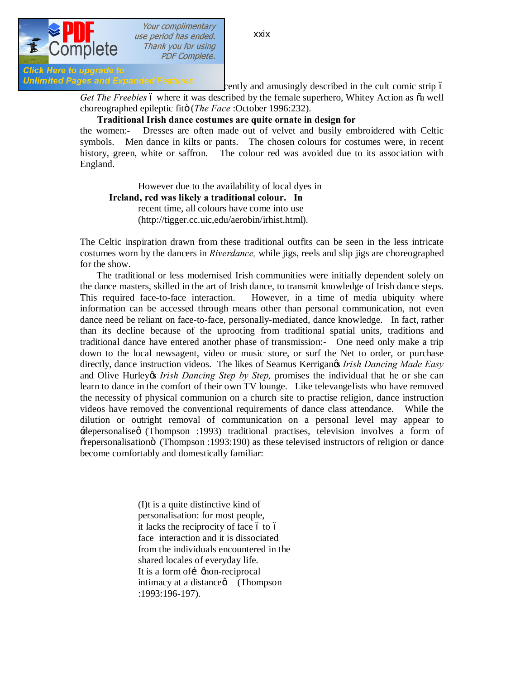

xxix

**Click Here to upgrade to** 

Unlimited Pages and Expanded Features<br>
cently and amusingly described in the cult comic strip 6 *Get The Freebies* 6 where it was described by the female superhero, Whitey Action as  $\tilde{\alpha}$  well choreographed epileptic fitö (*The Face* :October 1996:232).

#### **Traditional Irish dance costumes are quite ornate in design for**

the women:- Dresses are often made out of velvet and busily embroidered with Celtic symbols. Men dance in kilts or pants. The chosen colours for costumes were, in recent history, green, white or saffron. The colour red was avoided due to its association with England.

However due to the availability of local dyes in **Ireland, red was likely a traditional colour. In**  recent time, all colours have come into use (http://tigger.cc.uic,edu/aerobin/irhist.html).

The Celtic inspiration drawn from these traditional outfits can be seen in the less intricate costumes worn by the dancers in *Riverdance,* while jigs, reels and slip jigs are choreographed for the show.

The traditional or less modernised Irish communities were initially dependent solely on the dance masters, skilled in the art of Irish dance, to transmit knowledge of Irish dance steps. This required face-to-face interaction. However, in a time of media ubiquity where information can be accessed through means other than personal communication, not even dance need be reliant on face-to-face, personally-mediated, dance knowledge. In fact, rather than its decline because of the uprooting from traditional spatial units, traditions and traditional dance have entered another phase of transmission:- One need only make a trip down to the local newsagent, video or music store, or surf the Net to order, or purchase directly, dance instruction videos. The likes of Seamus Kerrigan's *Irish Dancing Made Easy* and Olive Hurley *Irish Dancing Step by Step*, promises the individual that he or she can learn to dance in the comfort of their own TV lounge. Like televangelists who have removed the necessity of physical communion on a church site to practise religion, dance instruction videos have removed the conventional requirements of dance class attendance. While the dilution or outright removal of communication on a personal level may appear to 'depersonalise' (Thompson :1993) traditional practises, television involves a form of  $\tilde{\sigma}$  repersonalisation  $\tilde{\sigma}$  (Thompson : 1993:190) as these televised instructors of religion or dance become comfortably and domestically familiar:

> (I)t is a quite distinctive kind of personalisation: for most people, it lacks the reciprocity of face 6 to 6 face interaction and it is dissociated from the individuals encountered in the shared locales of everyday life. It is a form of i gnon-reciprocal intimacy at a distance o (Thompson :1993:196-197).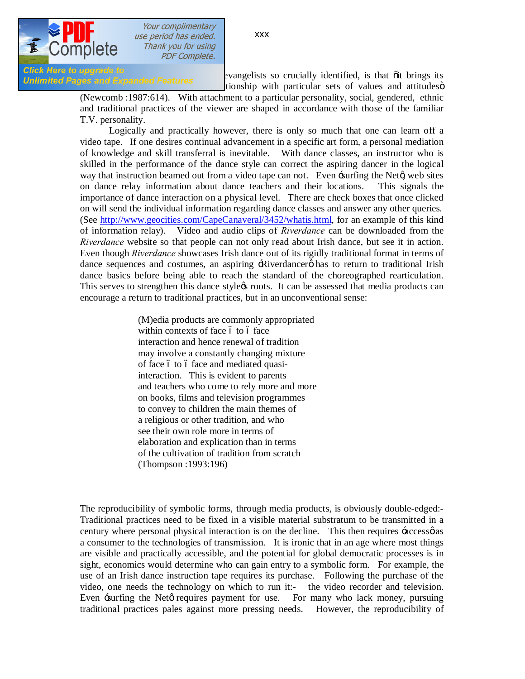

xxx

Click Here to upgrade to<br>
Unlimited Pages and Expanded Features<br>
The interval of the interval of the interval of the interval of the interval of the interval of the interval tionship with particular sets of values and attitudes of

> (Newcomb :1987:614). With attachment to a particular personality, social, gendered, ethnic and traditional practices of the viewer are shaped in accordance with those of the familiar T.V. personality.

> Logically and practically however, there is only so much that one can learn off a video tape. If one desires continual advancement in a specific art form, a personal mediation of knowledge and skill transferral is inevitable. With dance classes, an instructor who is skilled in the performance of the dance style can correct the aspiring dancer in the logical way that instruction beamed out from a video tape can not. Even  $\pm$ surfing the Net $\alpha$  web sites on dance relay information about dance teachers and their locations. This signals the importance of dance interaction on a physical level. There are check boxes that once clicked on will send the individual information regarding dance classes and answer any other queries. (See http://www.geocities.com/CapeCanaveral/3452/whatis.html, for an example of this kind of information relay). Video and audio clips of *Riverdance* can be downloaded from the *Riverdance* website so that people can not only read about Irish dance, but see it in action. Even though *Riverdance* showcases Irish dance out of its rigidly traditional format in terms of dance sequences and costumes, an aspiring  $\exists$ Riverdancerø has to return to traditional Irish dance basics before being able to reach the standard of the choreographed rearticulation. This serves to strengthen this dance style to roots. It can be assessed that media products can encourage a return to traditional practices, but in an unconventional sense:

> > (M)edia products are commonly appropriated within contexts of face 6 to 6 face interaction and hence renewal of tradition may involve a constantly changing mixture of face 6 to 6 face and mediated quasiinteraction. This is evident to parents and teachers who come to rely more and more on books, films and television programmes to convey to children the main themes of a religious or other tradition, and who see their own role more in terms of elaboration and explication than in terms of the cultivation of tradition from scratch (Thompson :1993:196)

The reproducibility of symbolic forms, through media products, is obviously double-edged:- Traditional practices need to be fixed in a visible material substratum to be transmitted in a century where personal physical interaction is on the decline. This then requires  $\pm$  access  $\phi$  as a consumer to the technologies of transmission. It is ironic that in an age where most things are visible and practically accessible, and the potential for global democratic processes is in sight, economics would determine who can gain entry to a symbolic form. For example, the use of an Irish dance instruction tape requires its purchase. Following the purchase of the video, one needs the technology on which to run it:- the video recorder and television. Even  $\exists$ surfing the Netø requires payment for use. For many who lack money, pursuing traditional practices pales against more pressing needs. However, the reproducibility of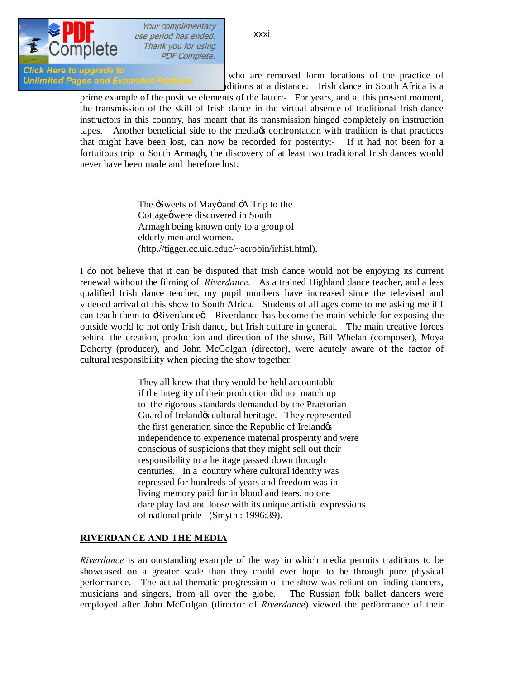

xxxi

Click Here to upgrade to<br>
Unlimited Pages and Expanded Features<br>
Unlimited Pages and Expanded Features aditions at a distance. Irish dance in South Africa is a

prime example of the positive elements of the latter:- For years, and at this present moment, the transmission of the skill of Irish dance in the virtual absence of traditional Irish dance instructors in this country, has meant that its transmission hinged completely on instruction tapes. Another beneficial side to the media confrontation with tradition is that practices that might have been lost, can now be recorded for posterity:- If it had not been for a fortuitous trip to South Armagh, the discovery of at least two traditional Irish dances would never have been made and therefore lost:

> The  $\div$ Sweets of Mayo and  $\div$ A Trip to the Cottageø were discovered in South Armagh being known only to a group of elderly men and women. (http.//tigger.cc.uic.educ/~aerobin/irhist.html).

I do not believe that it can be disputed that Irish dance would not be enjoying its current renewal without the filming of *Riverdance.* As a trained Highland dance teacher, and a less qualified Irish dance teacher, my pupil numbers have increased since the televised and videoed arrival of this show to South Africa. Students of all ages come to me asking me if I can teach them to -Riverdance . Riverdance has become the main vehicle for exposing the outside world to not only Irish dance, but Irish culture in general. The main creative forces behind the creation, production and direction of the show, Bill Whelan (composer), Moya Doherty (producer), and John McColgan (director), were acutely aware of the factor of cultural responsibility when piecing the show together:

> They all knew that they would be held accountable if the integrity of their production did not match up to the rigorous standards demanded by the Praetorian Guard of Ireland & cultural heritage. They represented the first generation since the Republic of Ireland<sup>os</sup> independence to experience material prosperity and were conscious of suspicions that they might sell out their responsibility to a heritage passed down through centuries. In a country where cultural identity was repressed for hundreds of years and freedom was in living memory paid for in blood and tears, no one dare play fast and loose with its unique artistic expressions of national pride (Smyth : 1996:39).

#### **RIVERDANCE AND THE MEDIA**

*Riverdance* is an outstanding example of the way in which media permits traditions to be showcased on a greater scale than they could ever hope to be through pure physical performance. The actual thematic progression of the show was reliant on finding dancers, musicians and singers, from all over the globe. The Russian folk ballet dancers were employed after John McColgan (director of *Riverdance*) viewed the performance of their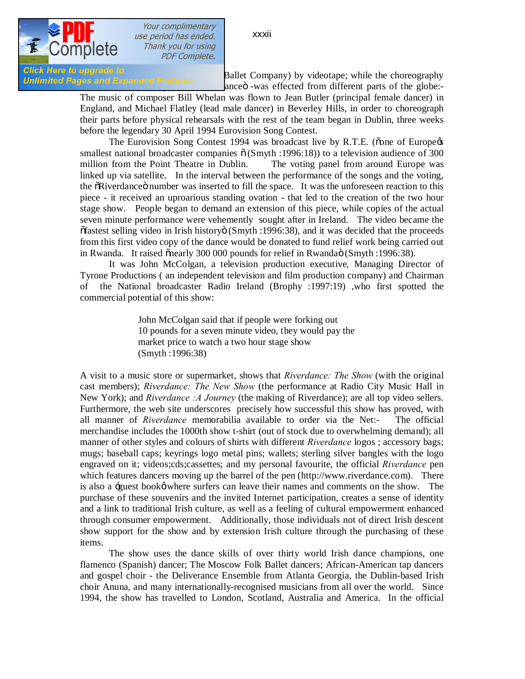

xxxii

Click Here to upgrade to<br>
Unlimited Pages and Expanded Features<br>
Sallet Company) by videotape; while the choreography<br>
Sallet Company) by videotape; while the choreography ance  $\ddot{o}$  -was effected from different parts of the globe:-

The music of composer Bill Whelan was flown to Jean Butler (principal female dancer) in England, and Michael Flatley (lead male dancer) in Beverley Hills, in order to choreograph their parts before physical rehearsals with the rest of the team began in Dublin, three weeks before the legendary 30 April 1994 Eurovision Song Contest.

The Eurovision Song Contest 1994 was broadcast live by R.T.E. (one of Europegs smallest national broadcaster companies  $\delta$  (Smyth :1996:18)) to a television audience of 300 million from the Point Theatre in Dublin. The voting panel from around Europe was linked up via satellite. In the interval between the performance of the songs and the voting, the  $\delta$ Riverdance is number was inserted to fill the space. It was the unforeseen reaction to this piece - it received an uproarious standing ovation - that led to the creation of the two hour stage show. People began to demand an extension of this piece, while copies of the actual seven minute performance were vehemently sought after in Ireland. The video became the  $\delta$ fastest selling video in Irish historyö (Smyth :1996:38), and it was decided that the proceeds from this first video copy of the dance would be donated to fund relief work being carried out in Rwanda. It raised õnearly 300 000 pounds for relief in Rwandaö (Smyth :1996:38).

It was John McColgan, a television production executive, Managing Director of Tyrone Productions ( an independent television and film production company) and Chairman of the National broadcaster Radio Ireland (Brophy :1997:19) ,who first spotted the commercial potential of this show:

> John McColgan said that if people were forking out 10 pounds for a seven minute video, they would pay the market price to watch a two hour stage show (Smyth :1996:38)

A visit to a music store or supermarket, shows that *Riverdance: The Show* (with the original cast members); *Riverdance: The New Show* (the performance at Radio City Music Hall in New York); and *Riverdance :A Journey* (the making of Riverdance); are all top video sellers. Furthermore, the web site underscores precisely how successful this show has proved, with all manner of *Riverdance* memorabilia available to order via the Net:- The official merchandise includes the 1000th show t-shirt (out of stock due to overwhelming demand); all manner of other styles and colours of shirts with different *Riverdance* logos ; accessory bags; mugs; baseball caps; keyrings logo metal pins; wallets; sterling silver bangles with the logo engraved on it; videos;cds;cassettes; and my personal favourite, the official *Riverdance* pen which features dancers moving up the barrel of the pen (http://www.riverdance.com). There is also a  $\div$ guest book $\phi$  where surfers can leave their names and comments on the show. The purchase of these souvenirs and the invited Internet participation, creates a sense of identity and a link to traditional Irish culture, as well as a feeling of cultural empowerment enhanced through consumer empowerment. Additionally, those individuals not of direct Irish descent show support for the show and by extension Irish culture through the purchasing of these items.

The show uses the dance skills of over thirty world Irish dance champions, one flamenco (Spanish) dancer; The Moscow Folk Ballet dancers; African-American tap dancers and gospel choir - the Deliverance Ensemble from Atlanta Georgia, the Dublin-based Irish choir Anuna, and many internationally-recognised musicians from all over the world. Since 1994, the show has travelled to London, Scotland, Australia and America. In the official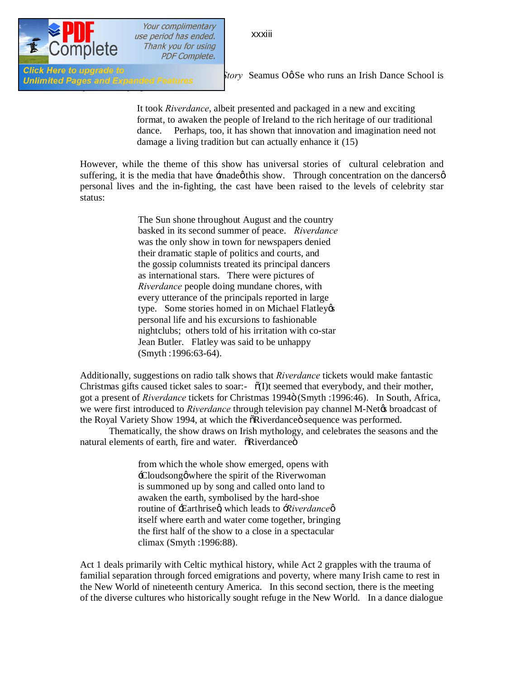

**Unlimited Pages and Expanded Features** 

Your complimentary use period has ended. Thank you for using **PDF Complete.** 

xxxiii

*Rick Here to upgrade to*<br>*Rights that Range and Expended Features Story* Seamus Og Se who runs an Irish Dance School is

It took *Riverdance*, albeit presented and packaged in a new and exciting format, to awaken the people of Ireland to the rich heritage of our traditional dance. Perhaps, too, it has shown that innovation and imagination need not damage a living tradition but can actually enhance it (15)

However, while the theme of this show has universal stories of cultural celebration and suffering, it is the media that have  $\pm$ made $\phi$  this show. Through concentration on the dancers $\phi$ personal lives and the in-fighting, the cast have been raised to the levels of celebrity star status:

> The Sun shone throughout August and the country basked in its second summer of peace. *Riverdance* was the only show in town for newspapers denied their dramatic staple of politics and courts, and the gossip columnists treated its principal dancers as international stars. There were pictures of *Riverdance* people doing mundane chores, with every utterance of the principals reported in large type. Some stories homed in on Michael Flatley personal life and his excursions to fashionable nightclubs; others told of his irritation with co-star Jean Butler. Flatley was said to be unhappy (Smyth :1996:63-64).

Additionally, suggestions on radio talk shows that *Riverdance* tickets would make fantastic Christmas gifts caused ticket sales to soar:-  $\tilde{o}(I)$ t seemed that everybody, and their mother, got a present of *Riverdance* tickets for Christmas 1994 $\ddot{\text{o}}$  (Smyth :1996:46). In South, Africa, we were first introduced to *Riverdance* through television pay channel M-Net<sub><sup>®</sub></sup> broadcast of</sub> the Royal Variety Show 1994, at which the  $\delta$ Riverdance $\ddot{o}$  sequence was performed.

Thematically, the show draws on Irish mythology, and celebrates the seasons and the natural elements of earth, fire and water.  $\ddot{\text{o}}$ Riverdance $\ddot{\text{o}}$ 

> from which the whole show emerged, opens with : Cloudsong where the spirit of the Riverwoman is summoned up by song and called onto land to awaken the earth, symbolised by the hard-shoe routine of  $\pm$ arthriseg which leads to  $\pm$ *Riverdance* itself where earth and water come together, bringing the first half of the show to a close in a spectacular climax (Smyth :1996:88).

Act 1 deals primarily with Celtic mythical history, while Act 2 grapples with the trauma of familial separation through forced emigrations and poverty, where many Irish came to rest in the New World of nineteenth century America. In this second section, there is the meeting of the diverse cultures who historically sought refuge in the New World. In a dance dialogue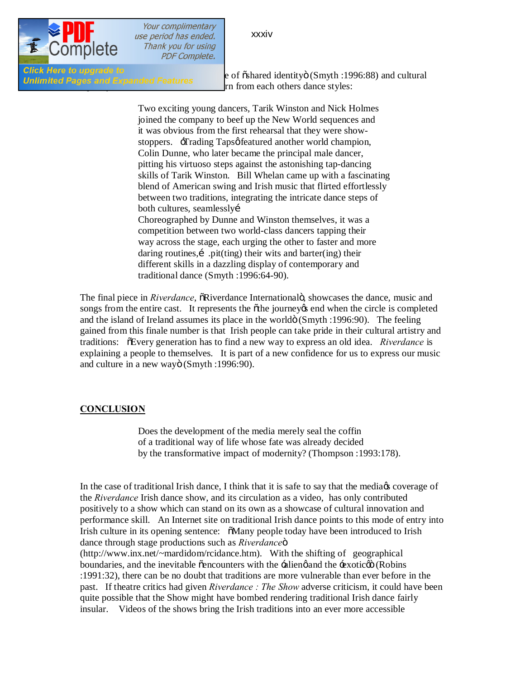

xxxiv

Click Here to upgrade to<br>
Unlimited Pages and Expanded Features e of  $\ddot{\text{o}}$  contentity (Smyth :1996:88) and cultural rn from each others dance styles:

> Two exciting young dancers, Tarik Winston and Nick Holmes joined the company to beef up the New World sequences and it was obvious from the first rehearsal that they were showstoppers. -Trading Tapsø featured another world champion, Colin Dunne, who later became the principal male dancer, pitting his virtuoso steps against the astonishing tap-dancing skills of Tarik Winston. Bill Whelan came up with a fascinating blend of American swing and Irish music that flirted effortlessly between two traditions, integrating the intricate dance steps of both cultures, seamlesslyí Choreographed by Dunne and Winston themselves, it was a competition between two world-class dancers tapping their way across the stage, each urging the other to faster and more

daring routines, i. pit(ting) their wits and barter(ing) their different skills in a dazzling display of contemporary and traditional dance (Smyth :1996:64-90).

The final piece in *Riverdance*,  $\delta$ Riverdance Internationalo, showcases the dance, music and songs from the entire cast. It represents the  $\delta$ the journey's end when the circle is completed and the island of Ireland assumes its place in the worldö (Smyth :1996:90). The feeling gained from this finale number is that Irish people can take pride in their cultural artistry and traditions: "Every generation has to find a new way to express an old idea. *Riverdance* is explaining a people to themselves. It is part of a new confidence for us to express our music and culture in a new wayö (Smyth : 1996:90).

#### **CONCLUSION**

Does the development of the media merely seal the coffin of a traditional way of life whose fate was already decided by the transformative impact of modernity? (Thompson :1993:178).

In the case of traditional Irish dance, I think that it is safe to say that the media to coverage of the *Riverdance* Irish dance show, and its circulation as a video, has only contributed positively to a show which can stand on its own as a showcase of cultural innovation and performance skill. An Internet site on traditional Irish dance points to this mode of entry into Irish culture in its opening sentence:  $\delta$ Many people today have been introduced to Irish dance through stage productions such as *Riverdance* $\ddot{\text{o}}$ 

(http://www.inx.net/~mardidom/rcidance.htm). With the shifting of geographical boundaries, and the inevitable  $\delta$  encounters with the -alien  $\delta$  and the -exotic  $\delta$  (Robins :1991:32), there can be no doubt that traditions are more vulnerable than ever before in the past. If theatre critics had given *Riverdance : The Show* adverse criticism, it could have been quite possible that the Show might have bombed rendering traditional Irish dance fairly insular. Videos of the shows bring the Irish traditions into an ever more accessible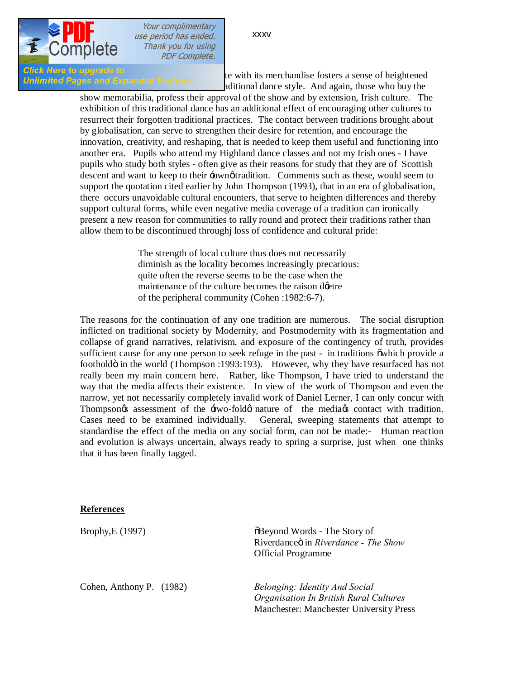

xxxv

**Click Here to upgrade to**<br> **Unlimited Pages and Expanded Features** the with its merchandise fosters a sense of heightened<br>
Litterature of the Litterature of the Litterature of the Litterature of the Litterature of the Lit aditional dance style. And again, those who buy the

show memorabilia, profess their approval of the show and by extension, Irish culture. The exhibition of this traditional dance has an additional effect of encouraging other cultures to resurrect their forgotten traditional practices. The contact between traditions brought about by globalisation, can serve to strengthen their desire for retention, and encourage the innovation, creativity, and reshaping, that is needed to keep them useful and functioning into another era. Pupils who attend my Highland dance classes and not my Irish ones - I have pupils who study both styles - often give as their reasons for study that they are of Scottish descent and want to keep to their  $\div$  own $\phi$  tradition. Comments such as these, would seem to support the quotation cited earlier by John Thompson (1993), that in an era of globalisation, there occurs unavoidable cultural encounters, that serve to heighten differences and thereby support cultural forms, while even negative media coverage of a tradition can ironically present a new reason for communities to rally round and protect their traditions rather than allow them to be discontinued throughj loss of confidence and cultural pride:

> The strength of local culture thus does not necessarily diminish as the locality becomes increasingly precarious: quite often the reverse seems to be the case when the maintenance of the culture becomes the raison døetre of the peripheral community (Cohen :1982:6-7).

The reasons for the continuation of any one tradition are numerous. The social disruption inflicted on traditional society by Modernity, and Postmodernity with its fragmentation and collapse of grand narratives, relativism, and exposure of the contingency of truth, provides sufficient cause for any one person to seek refuge in the past - in traditions owhich provide a foothold in the world (Thompson :1993:193). However, why they have resurfaced has not really been my main concern here. Rather, like Thompson, I have tried to understand the way that the media affects their existence. In view of the work of Thompson and even the narrow, yet not necessarily completely invalid work of Daniel Lerner, I can only concur with Thompsongs assessment of the  $\pm$ wo-fold $\phi$  nature of the mediags contact with tradition. Cases need to be examined individually. General, sweeping statements that attempt to standardise the effect of the media on any social form, can not be made:- Human reaction and evolution is always uncertain, always ready to spring a surprise, just when one thinks that it has been finally tagged.

#### **References**

Brophy, E (1997) "Brophy, E (1997) "Beyond Words - The Story of Riverdance" in *Riverdance - The Show*  Official Programme Cohen, Anthony P. (1982) *Belonging: Identity And Social Organisation In British Rural Cultures* Manchester: Manchester University Press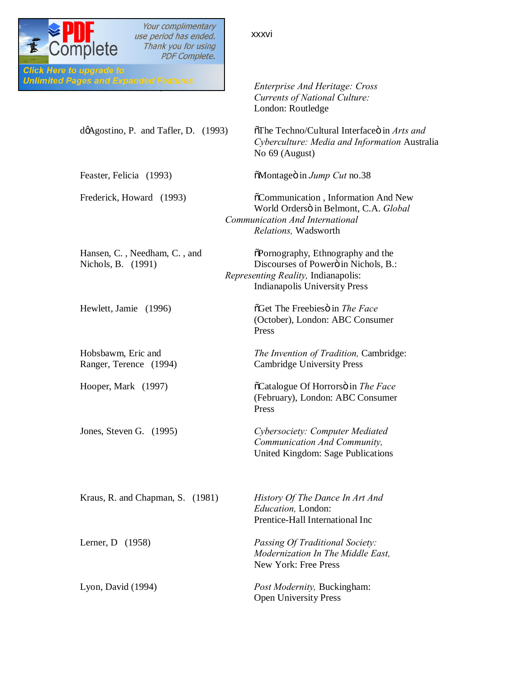

xxxvi

**Click Here to upgrade to Unlimited Pages and Expanded Features**<br> *Enterprise And Heritage: Cross* 

*Currents of National Culture:* London: Routledge

dgAgostino, P. and Tafler, D. (1993) <sup>6</sup>The Techno/Cultural Interface in *Arts and Cyberculture: Media and Information* Australia No 69 (August)

Feaster, Felicia (1993) <sup>6</sup>Montage in *Jump Cut* no.38

Frederick, Howard (1993) <sup>6</sup>Communication, Information And New World Ordersö in Belmont, C.A. *Global Communication And International Relations,* Wadsworth

Hansen, C., Needham, C., and "
openography, Ethnography and the Nichols, B. (1991) Discourses of Powerö in Nichols, B.: *Representing Reality,* Indianapolis: Indianapolis University Press

Hewlett, Jamie (1996) <sup>6</sup> 6Get The Freebies in *The Face* (October), London: ABC Consumer Press

Hobsbawm, Eric and *The Invention of Tradition,* Cambridge: Ranger, Terence (1994) Cambridge University Press

Hooper, Mark (1997) <sup>"</sup>
GCatalogue Of Horrors" in *The Face* (February), London: ABC Consumer Press

Jones, Steven G. (1995) *Cybersociety: Computer Mediated Communication And Community,* United Kingdom: Sage Publications

Kraus, R. and Chapman, S. (1981) *History Of The Dance In Art And Education,* London: Prentice-Hall International Inc

Lerner, D (1958) *Passing Of Traditional Society: Modernization In The Middle East,* New York: Free Press

Lyon, David (1994) *Post Modernity,* Buckingham: Open University Press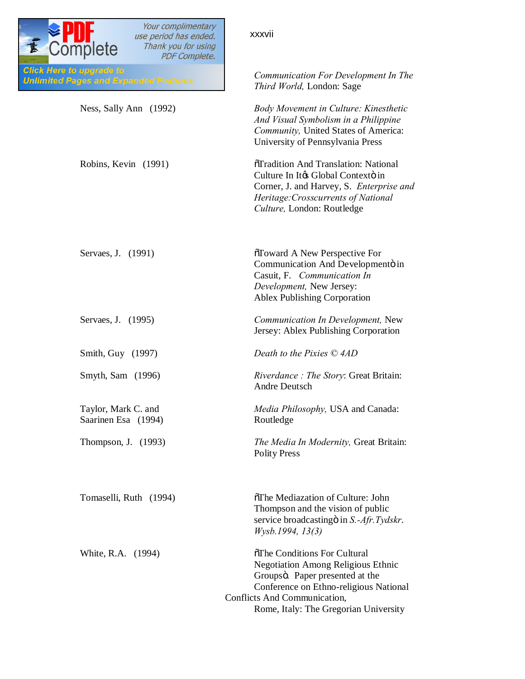

xxxvii

| fere to upgrade to<br><b>ted Pages and Expanded Features</b> | Communication For Development In The<br>Third World, London: Sage                                                                                                                                                               |
|--------------------------------------------------------------|---------------------------------------------------------------------------------------------------------------------------------------------------------------------------------------------------------------------------------|
| Ness, Sally Ann (1992)                                       | Body Movement in Culture: Kinesthetic<br>And Visual Symbolism in a Philippine<br>Community, United States of America:<br>University of Pennsylvania Press                                                                       |
| Robins, Kevin (1991)                                         | öTradition And Translation: National<br>Culture In Itos Global Contextö in<br>Corner, J. and Harvey, S. Enterprise and<br>Heritage: Crosscurrents of National<br>Culture, London: Routledge                                     |
| Servaes, J. (1991)                                           | õToward A New Perspective For<br>Communication And Developmentö in<br>Casuit, F. Communication In<br>Development, New Jersey:<br><b>Ablex Publishing Corporation</b>                                                            |
| Servaes, J. (1995)                                           | Communication In Development, New<br>Jersey: Ablex Publishing Corporation                                                                                                                                                       |
| Smith, Guy (1997)                                            | Death to the Pixies $\odot$ 4AD                                                                                                                                                                                                 |
| Smyth, Sam (1996)                                            | <i>Riverdance: The Story: Great Britain:</i><br>Andre Deutsch                                                                                                                                                                   |
| Taylor, Mark C. and<br>Saarinen Esa (1994)                   | Media Philosophy, USA and Canada:<br>Routledge                                                                                                                                                                                  |
| Thompson, J. (1993)                                          | The Media In Modernity, Great Britain:<br><b>Polity Press</b>                                                                                                                                                                   |
| Tomaselli, Ruth (1994)                                       | öThe Mediazation of Culture: John<br>Thompson and the vision of public<br>service broadcastingö in S.-Afr.Tydskr.<br>Wysb.1994, 13(3)                                                                                           |
| White, R.A. (1994)                                           | õThe Conditions For Cultural<br><b>Negotiation Among Religious Ethnic</b><br>Groupsö. Paper presented at the<br>Conference on Ethno-religious National<br>Conflicts And Communication,<br>Rome, Italy: The Gregorian University |